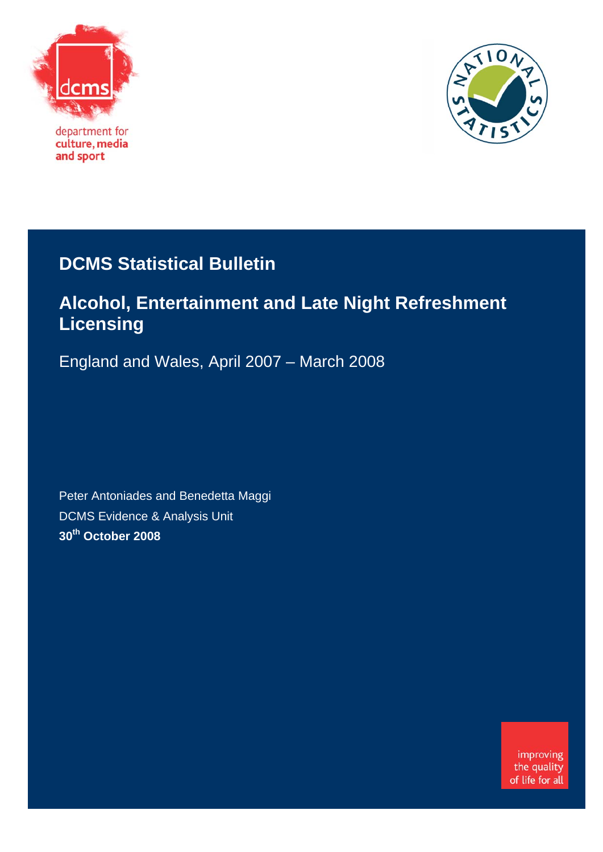

department for culture, media and sport



## **DCMS Statistical Bulletin**

## **Alcohol, Entertainment and Late Night Refreshment Licensing**

England and Wales, April 2007 – March 2008

Peter Antoniades and Benedetta Maggi DCMS Evidence & Analysis Unit **30th October 2008** 

> improving the quality of life for all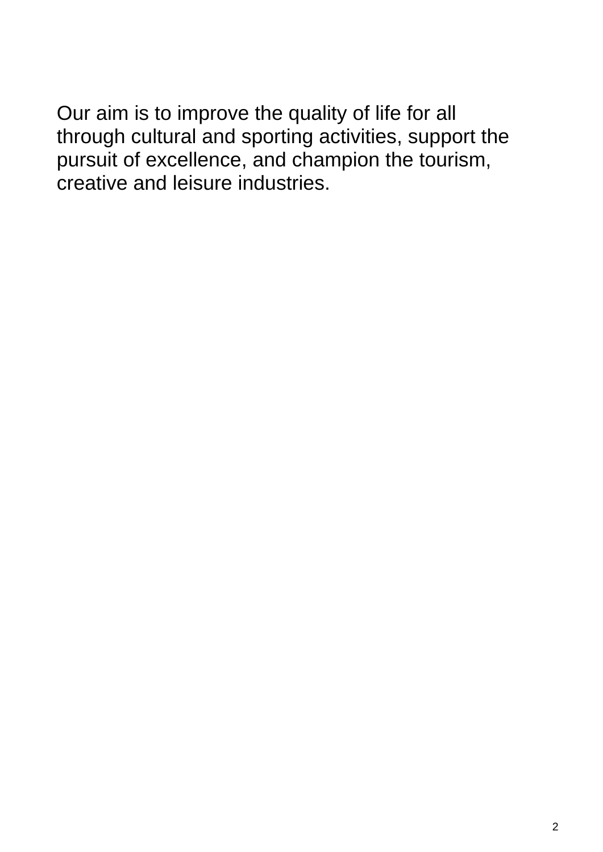Our aim is to improve the quality of life for all through cultural and sporting activities, support the pursuit of excellence, and champion the tourism, creative and leisure industries.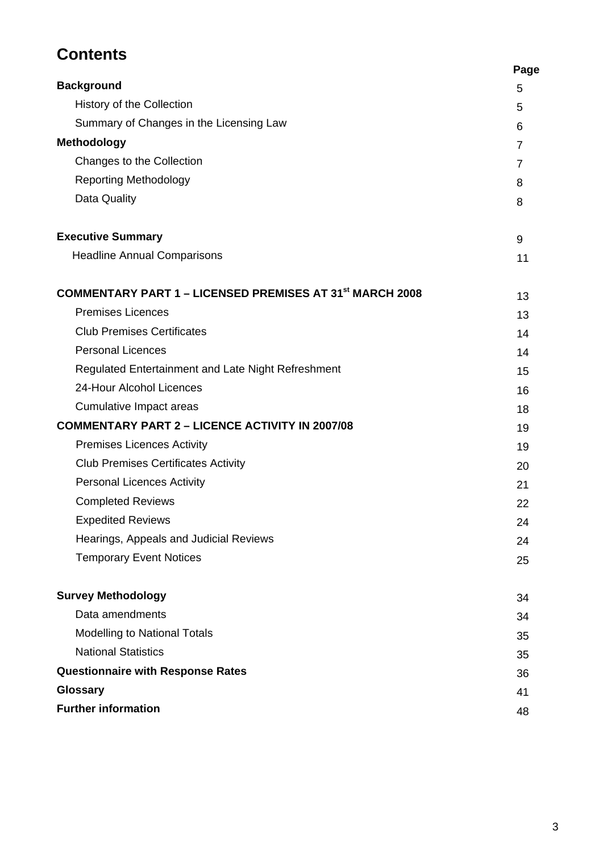## **Contents**

|                                                                            | Page           |
|----------------------------------------------------------------------------|----------------|
| <b>Background</b>                                                          | 5              |
| History of the Collection                                                  | 5              |
| Summary of Changes in the Licensing Law                                    | 6              |
| <b>Methodology</b>                                                         | $\overline{7}$ |
| Changes to the Collection                                                  | $\overline{7}$ |
| <b>Reporting Methodology</b>                                               | 8              |
| Data Quality                                                               | 8              |
| <b>Executive Summary</b>                                                   | 9              |
| <b>Headline Annual Comparisons</b>                                         | 11             |
| <b>COMMENTARY PART 1 – LICENSED PREMISES AT 31<sup>st</sup> MARCH 2008</b> | 13             |
| <b>Premises Licences</b>                                                   | 13             |
| <b>Club Premises Certificates</b>                                          | 14             |
| <b>Personal Licences</b>                                                   | 14             |
| Regulated Entertainment and Late Night Refreshment                         | 15             |
| 24-Hour Alcohol Licences                                                   | 16             |
| Cumulative Impact areas                                                    | 18             |
| <b>COMMENTARY PART 2 - LICENCE ACTIVITY IN 2007/08</b>                     | 19             |
| <b>Premises Licences Activity</b>                                          | 19             |
| <b>Club Premises Certificates Activity</b>                                 | 20             |
| <b>Personal Licences Activity</b>                                          | 21             |
| <b>Completed Reviews</b>                                                   | 22             |
| <b>Expedited Reviews</b>                                                   | 24             |
| Hearings, Appeals and Judicial Reviews                                     | 24             |
| <b>Temporary Event Notices</b>                                             | 25             |
| <b>Survey Methodology</b>                                                  | 34             |
| Data amendments                                                            | 34             |
| <b>Modelling to National Totals</b>                                        | 35             |
| <b>National Statistics</b>                                                 | 35             |
| <b>Questionnaire with Response Rates</b>                                   | 36             |
| <b>Glossary</b>                                                            | 41             |
| <b>Further information</b>                                                 | 48             |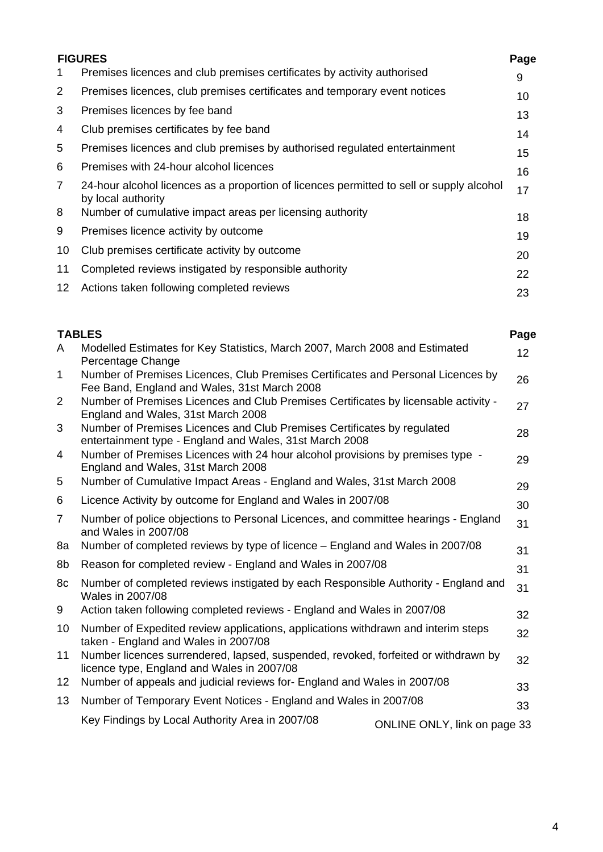|              | <b>FIGURES</b>                                                                                                 | Page |
|--------------|----------------------------------------------------------------------------------------------------------------|------|
| 1            | Premises licences and club premises certificates by activity authorised                                        | 9    |
| 2            | Premises licences, club premises certificates and temporary event notices                                      | 10   |
| 3            | Premises licences by fee band                                                                                  | 13   |
| 4            | Club premises certificates by fee band                                                                         | 14   |
| 5            | Premises licences and club premises by authorised regulated entertainment                                      | 15   |
| 6            | Premises with 24-hour alcohol licences                                                                         | 16   |
| $\mathbf{7}$ | 24-hour alcohol licences as a proportion of licences permitted to sell or supply alcohol<br>by local authority | 17   |
| 8            | Number of cumulative impact areas per licensing authority                                                      | 18   |
| 9            | Premises licence activity by outcome                                                                           | 19   |
| 10           | Club premises certificate activity by outcome                                                                  | 20   |
| 11           | Completed reviews instigated by responsible authority                                                          | 22   |
| 12           | Actions taken following completed reviews                                                                      | 23   |
|              |                                                                                                                |      |

### **TABLES Page**

| A               | Modelled Estimates for Key Statistics, March 2007, March 2008 and Estimated<br>Percentage Change                                   |                              | 12 <sup>2</sup> |
|-----------------|------------------------------------------------------------------------------------------------------------------------------------|------------------------------|-----------------|
| 1               | Number of Premises Licences, Club Premises Certificates and Personal Licences by<br>Fee Band, England and Wales, 31st March 2008   |                              | 26              |
| 2               | Number of Premises Licences and Club Premises Certificates by licensable activity -<br>England and Wales, 31st March 2008          |                              | 27              |
| 3               | Number of Premises Licences and Club Premises Certificates by regulated<br>entertainment type - England and Wales, 31st March 2008 |                              | 28              |
| 4               | Number of Premises Licences with 24 hour alcohol provisions by premises type -<br>England and Wales, 31st March 2008               |                              | 29              |
| 5               | Number of Cumulative Impact Areas - England and Wales, 31st March 2008                                                             |                              | 29              |
| 6               | Licence Activity by outcome for England and Wales in 2007/08                                                                       |                              | 30              |
| $\overline{7}$  | Number of police objections to Personal Licences, and committee hearings - England<br>and Wales in 2007/08                         |                              | 31              |
| 8a              | Number of completed reviews by type of licence – England and Wales in 2007/08                                                      |                              | 31              |
| 8b              | Reason for completed review - England and Wales in 2007/08                                                                         |                              | 31              |
| 8с              | Number of completed reviews instigated by each Responsible Authority - England and<br>Wales in 2007/08                             |                              | 31              |
| 9               | Action taken following completed reviews - England and Wales in 2007/08                                                            |                              | 32              |
| 10              | Number of Expedited review applications, applications withdrawn and interim steps<br>taken - England and Wales in 2007/08          |                              | 32              |
| 11              | Number licences surrendered, lapsed, suspended, revoked, forfeited or withdrawn by<br>licence type, England and Wales in 2007/08   |                              | 32              |
| 12 <sub>2</sub> | Number of appeals and judicial reviews for- England and Wales in 2007/08                                                           |                              | 33              |
| 13              | Number of Temporary Event Notices - England and Wales in 2007/08                                                                   |                              | 33              |
|                 | Key Findings by Local Authority Area in 2007/08                                                                                    | ONLINE ONLY, link on page 33 |                 |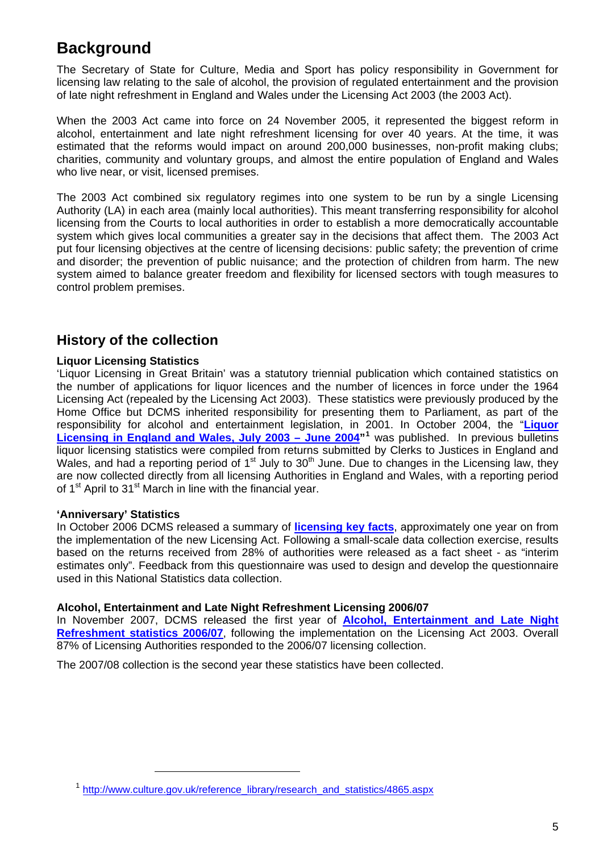## <span id="page-4-0"></span>**Background**

The Secretary of State for Culture, Media and Sport has policy responsibility in Government for licensing law relating to the sale of alcohol, the provision of regulated entertainment and the provision of late night refreshment in England and Wales under the Licensing Act 2003 (the 2003 Act).

When the 2003 Act came into force on 24 November 2005, it represented the biggest reform in alcohol, entertainment and late night refreshment licensing for over 40 years. At the time, it was estimated that the reforms would impact on around 200,000 businesses, non-profit making clubs; charities, community and voluntary groups, and almost the entire population of England and Wales who live near, or visit, licensed premises.

The 2003 Act combined six regulatory regimes into one system to be run by a single Licensing Authority (LA) in each area (mainly local authorities). This meant transferring responsibility for alcohol licensing from the Courts to local authorities in order to establish a more democratically accountable system which gives local communities a greater say in the decisions that affect them. The 2003 Act put four licensing objectives at the centre of licensing decisions: public safety; the prevention of crime and disorder; the prevention of public nuisance; and the protection of children from harm. The new system aimed to balance greater freedom and flexibility for licensed sectors with tough measures to control problem premises.

### **History of the collection**

### **Liquor Licensing Statistics**

'Liquor Licensing in Great Britain' was a statutory triennial publication which contained statistics on the number of applications for liquor licences and the number of licences in force under the 1964 Licensing Act (repealed by the Licensing Act 2003). These statistics were previously produced by the Home Office but DCMS inherited responsibility for presenting them to Parliament, as part of the responsibility for alcohol and entertainment legislation, in 2001. In October 2004, the "**[Liquor](http://www.culture.gov.uk/images/research/7138BLiquorReport.pdf)  [Licensing in England and Wales, July 2003 – June 2004](http://www.culture.gov.uk/images/research/7138BLiquorReport.pdf)"[1](#page-4-0)** was published. In previous bulletins liquor licensing statistics were compiled from returns submitted by Clerks to Justices in England and Wales, and had a reporting period of  $1<sup>st</sup>$  July to  $30<sup>th</sup>$  June. Due to changes in the Licensing law, they are now collected directly from all licensing Authorities in England and Wales, with a reporting period of 1<sup>st</sup> April to 31<sup>st</sup> March in line with the financial year.

#### **'Anniversary' Statistics**

-

In October 2006 DCMS released a summary of **[licensing key facts](http://www.culture.gov.uk/images/publications/LICENSINGKEYSTATS.pdf)**, approximately one year on from the implementation of the new Licensing Act. Following a small-scale data collection exercise, results based on the returns received from 28% of authorities were released as a fact sheet - as "interim estimates only". Feedback from this questionnaire was used to design and develop the questionnaire used in this National Statistics data collection.

#### **Alcohol, Entertainment and Late Night Refreshment Licensing 2006/07**

In November 2007, DCMS released the first year of **Alcohol, Entertainment and Late Night [Refreshment statistics 2006/07](http://www.culture.gov.uk/images/research/alcohol_entertainment_and_late_night_refreshment_licensing_statistical_bulletin_october_08_update.doc)**, following the implementation on the Licensing Act 2003. Overall 87% of Licensing Authorities responded to the 2006/07 licensing collection.

The 2007/08 collection is the second year these statistics have been collected.

<sup>&</sup>lt;sup>1</sup> [http://www.culture.gov.uk/reference\\_library/research\\_and\\_statistics/4865.aspx](http://www.culture.gov.uk/reference_library/research_and_statistics/4865.aspx)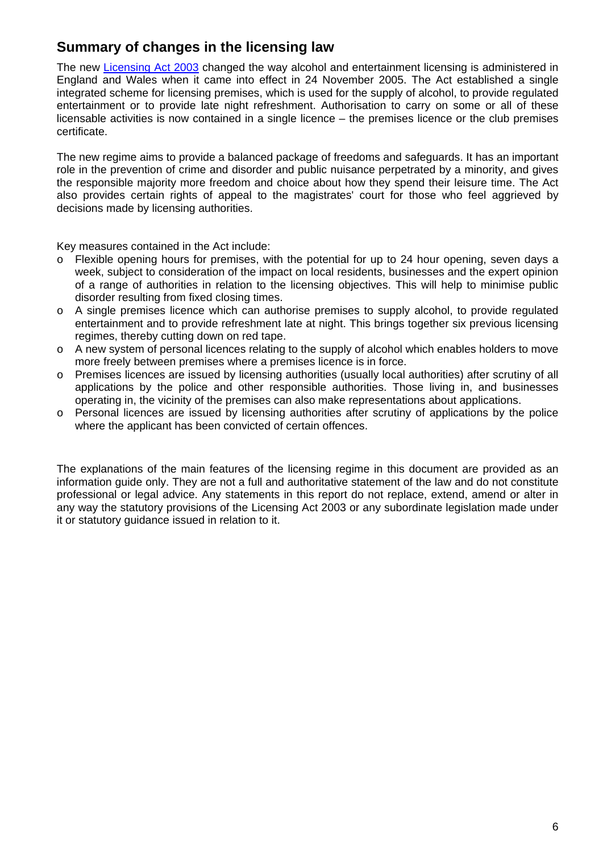### **Summary of changes in the licensing law**

The new [Licensing Act 2003](http://www.opsi.gov.uk/acts/acts2003/20030017.htm) changed the way alcohol and entertainment licensing is administered in England and Wales when it came into effect in 24 November 2005. The Act established a single integrated scheme for licensing premises, which is used for the supply of alcohol, to provide regulated entertainment or to provide late night refreshment. Authorisation to carry on some or all of these licensable activities is now contained in a single licence – the premises licence or the club premises certificate.

The new regime aims to provide a balanced package of freedoms and safeguards. It has an important role in the prevention of crime and disorder and public nuisance perpetrated by a minority, and gives the responsible majority more freedom and choice about how they spend their leisure time. The Act also provides certain rights of appeal to the magistrates' court for those who feel aggrieved by decisions made by licensing authorities.

Key measures contained in the Act include:

- o Flexible opening hours for premises, with the potential for up to 24 hour opening, seven days a week, subject to consideration of the impact on local residents, businesses and the expert opinion of a range of authorities in relation to the licensing objectives. This will help to minimise public disorder resulting from fixed closing times.
- o A single premises licence which can authorise premises to supply alcohol, to provide regulated entertainment and to provide refreshment late at night. This brings together six previous licensing regimes, thereby cutting down on red tape.
- o A new system of personal licences relating to the supply of alcohol which enables holders to move more freely between premises where a premises licence is in force.
- o Premises licences are issued by licensing authorities (usually local authorities) after scrutiny of all applications by the police and other responsible authorities. Those living in, and businesses operating in, the vicinity of the premises can also make representations about applications.
- o Personal licences are issued by licensing authorities after scrutiny of applications by the police where the applicant has been convicted of certain offences.

The explanations of the main features of the licensing regime in this document are provided as an information guide only. They are not a full and authoritative statement of the law and do not constitute professional or legal advice. Any statements in this report do not replace, extend, amend or alter in any way the statutory provisions of the Licensing Act 2003 or any subordinate legislation made under it or statutory guidance issued in relation to it.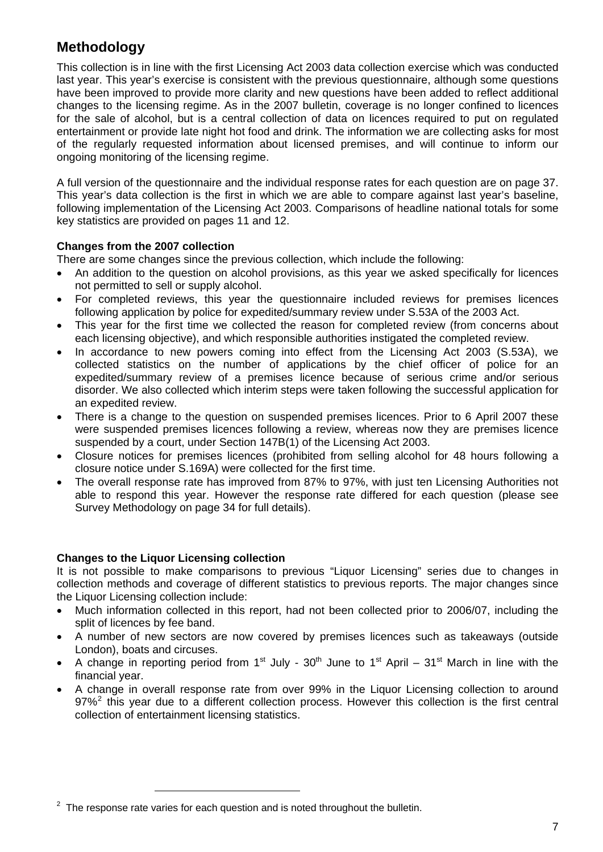### <span id="page-6-0"></span>**Methodology**

This collection is in line with the first Licensing Act 2003 data collection exercise which was conducted last year. This year's exercise is consistent with the previous questionnaire, although some questions have been improved to provide more clarity and new questions have been added to reflect additional changes to the licensing regime. As in the 2007 bulletin, coverage is no longer confined to licences for the sale of alcohol, but is a central collection of data on licences required to put on regulated entertainment or provide late night hot food and drink. The information we are collecting asks for most of the regularly requested information about licensed premises, and will continue to inform our ongoing monitoring of the licensing regime.

A full version of the questionnaire and the individual response rates for each question are on page 37. This year's data collection is the first in which we are able to compare against last year's baseline, following implementation of the Licensing Act 2003. Comparisons of headline national totals for some key statistics are provided on pages 11 and 12.

### **Changes from the 2007 collection**

There are some changes since the previous collection, which include the following:

- An addition to the question on alcohol provisions, as this year we asked specifically for licences not permitted to sell or supply alcohol.
- For completed reviews, this year the questionnaire included reviews for premises licences following application by police for expedited/summary review under S.53A of the 2003 Act.
- This year for the first time we collected the reason for completed review (from concerns about each licensing objective), and which responsible authorities instigated the completed review.
- In accordance to new powers coming into effect from the Licensing Act 2003 (S.53A), we collected statistics on the number of applications by the chief officer of police for an expedited/summary review of a premises licence because of serious crime and/or serious disorder. We also collected which interim steps were taken following the successful application for an expedited review.
- There is a change to the question on suspended premises licences. Prior to 6 April 2007 these were suspended premises licences following a review, whereas now they are premises licence suspended by a court, under Section 147B(1) of the Licensing Act 2003.
- Closure notices for premises licences (prohibited from selling alcohol for 48 hours following a closure notice under S.169A) were collected for the first time.
- The overall response rate has improved from 87% to 97%, with just ten Licensing Authorities not able to respond this year. However the response rate differed for each question (please see Survey Methodology on page 34 for full details).

### **Changes to the Liquor Licensing collection**

 $\overline{a}$ 

It is not possible to make comparisons to previous "Liquor Licensing" series due to changes in collection methods and coverage of different statistics to previous reports. The major changes since the Liquor Licensing collection include:

- Much information collected in this report, had not been collected prior to 2006/07, including the split of licences by fee band.
- A number of new sectors are now covered by premises licences such as takeaways (outside London), boats and circuses.
- A change in reporting period from 1<sup>st</sup> July  $30<sup>th</sup>$  June to 1<sup>st</sup> April  $31<sup>st</sup>$  March in line with the financial year.
- A change in overall response rate from over 99% in the Liquor Licensing collection to around  $97\%$ <sup>[2](#page-6-0)</sup> this year due to a different collection process. However this collection is the first central collection of entertainment licensing statistics.

 $2$  The response rate varies for each question and is noted throughout the bulletin.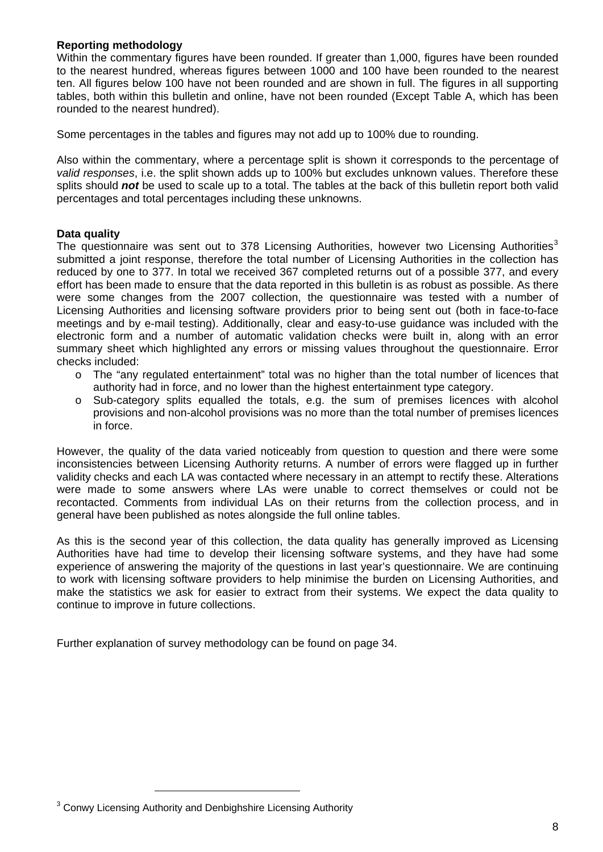### <span id="page-7-0"></span>**Reporting methodology**

Within the commentary figures have been rounded. If greater than 1,000, figures have been rounded to the nearest hundred, whereas figures between 1000 and 100 have been rounded to the nearest ten. All figures below 100 have not been rounded and are shown in full. The figures in all supporting tables, both within this bulletin and online, have not been rounded (Except Table A, which has been rounded to the nearest hundred).

Some percentages in the tables and figures may not add up to 100% due to rounding.

Also within the commentary, where a percentage split is shown it corresponds to the percentage of *valid responses*, i.e. the split shown adds up to 100% but excludes unknown values. Therefore these splits should *not* be used to scale up to a total. The tables at the back of this bulletin report both valid percentages and total percentages including these unknowns.

### **Data quality**

The questionnaire was sent out to [3](#page-7-0)78 Licensing Authorities, however two Licensing Authorities<sup>3</sup> submitted a joint response, therefore the total number of Licensing Authorities in the collection has reduced by one to 377. In total we received 367 completed returns out of a possible 377, and every effort has been made to ensure that the data reported in this bulletin is as robust as possible. As there were some changes from the 2007 collection, the questionnaire was tested with a number of Licensing Authorities and licensing software providers prior to being sent out (both in face-to-face meetings and by e-mail testing). Additionally, clear and easy-to-use guidance was included with the electronic form and a number of automatic validation checks were built in, along with an error summary sheet which highlighted any errors or missing values throughout the questionnaire. Error checks included:

- o The "any regulated entertainment" total was no higher than the total number of licences that authority had in force, and no lower than the highest entertainment type category.
- o Sub-category splits equalled the totals, e.g. the sum of premises licences with alcohol provisions and non-alcohol provisions was no more than the total number of premises licences in force.

However, the quality of the data varied noticeably from question to question and there were some inconsistencies between Licensing Authority returns. A number of errors were flagged up in further validity checks and each LA was contacted where necessary in an attempt to rectify these. Alterations were made to some answers where LAs were unable to correct themselves or could not be recontacted. Comments from individual LAs on their returns from the collection process, and in general have been published as notes alongside the full online tables.

As this is the second year of this collection, the data quality has generally improved as Licensing Authorities have had time to develop their licensing software systems, and they have had some experience of answering the majority of the questions in last year's questionnaire. We are continuing to work with licensing software providers to help minimise the burden on Licensing Authorities, and make the statistics we ask for easier to extract from their systems. We expect the data quality to continue to improve in future collections.

Further explanation of survey methodology can be found on page 34.

 $\overline{a}$ 

 $3$  Conwy Licensing Authority and Denbighshire Licensing Authority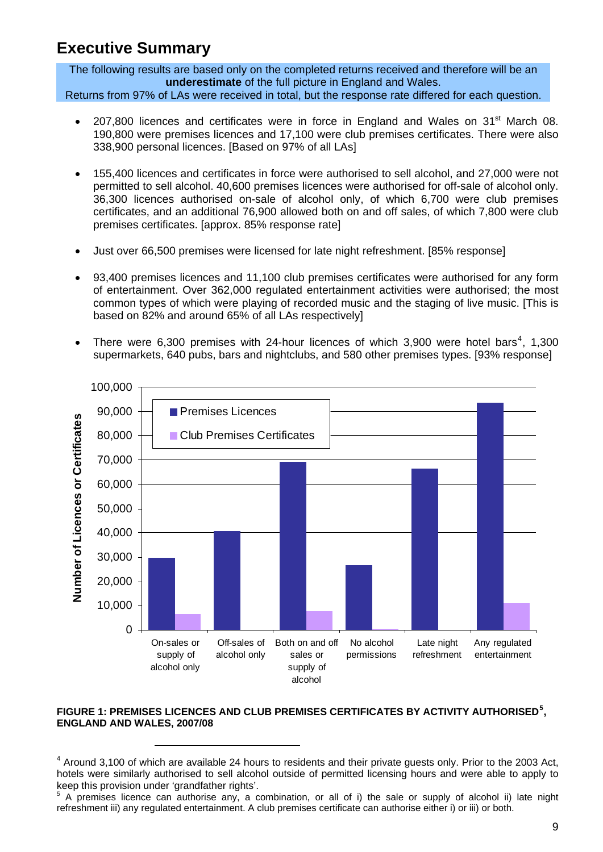## <span id="page-8-0"></span>**Executive Summary**

The following results are based only on the completed returns received and therefore will be an **underestimate** of the full picture in England and Wales. Returns from 97% of LAs were received in total, but the response rate differed for each question.

- 207,800 licences and certificates were in force in England and Wales on 31<sup>st</sup> March 08. 190,800 were premises licences and 17,100 were club premises certificates. There were also 338,900 personal licences. [Based on 97% of all LAs]
- 155,400 licences and certificates in force were authorised to sell alcohol, and 27,000 were not permitted to sell alcohol. 40,600 premises licences were authorised for off-sale of alcohol only. 36,300 licences authorised on-sale of alcohol only, of which 6,700 were club premises certificates, and an additional 76,900 allowed both on and off sales, of which 7,800 were club premises certificates. [approx. 85% response rate]
- Just over 66,500 premises were licensed for late night refreshment. [85% response]
- 93,400 premises licences and 11,100 club premises certificates were authorised for any form of entertainment. Over 362,000 regulated entertainment activities were authorised; the most common types of which were playing of recorded music and the staging of live music. [This is based on 82% and around 65% of all LAs respectively]
- There were 6,300 premises with 2[4](#page-8-0)-hour licences of which 3,900 were hotel bars<sup>4</sup>, 1,300 supermarkets, 640 pubs, bars and nightclubs, and 580 other premises types. [93% response]



#### **FIGURE 1: PREMISES LICENCES AND CLUB PREMISES CERTIFICATES BY ACTIVITY AUTHORISED[5](#page-8-0) , ENGLAND AND WALES, 2007/08**

-

 $4$  Around 3,100 of which are available 24 hours to residents and their private guests only. Prior to the 2003 Act, hotels were similarly authorised to sell alcohol outside of permitted licensing hours and were able to apply to keep this provision under 'grandfather rights'.

<sup>&</sup>lt;sup>5</sup> A premises licence can authorise any, a combination, or all of i) the sale or supply of alcohol ii) late night refreshment iii) any regulated entertainment. A club premises certificate can authorise either i) or iii) or both.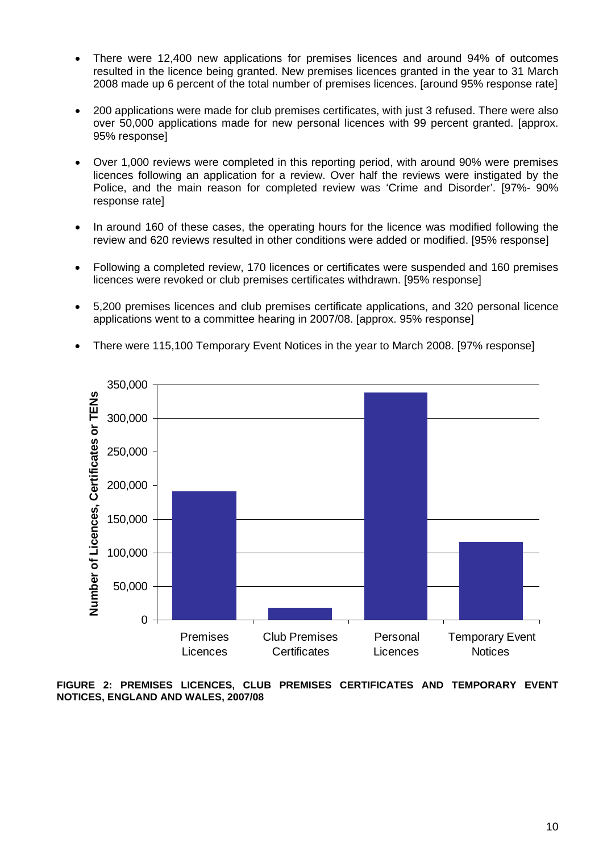- There were 12,400 new applications for premises licences and around 94% of outcomes resulted in the licence being granted. New premises licences granted in the year to 31 March 2008 made up 6 percent of the total number of premises licences. [around 95% response rate]
- 200 applications were made for club premises certificates, with just 3 refused. There were also over 50,000 applications made for new personal licences with 99 percent granted. [approx. 95% response]
- Over 1,000 reviews were completed in this reporting period, with around 90% were premises licences following an application for a review. Over half the reviews were instigated by the Police, and the main reason for completed review was 'Crime and Disorder'. [97%- 90% response rate]
- In around 160 of these cases, the operating hours for the licence was modified following the review and 620 reviews resulted in other conditions were added or modified. [95% response]
- Following a completed review, 170 licences or certificates were suspended and 160 premises licences were revoked or club premises certificates withdrawn. [95% response]
- 5,200 premises licences and club premises certificate applications, and 320 personal licence applications went to a committee hearing in 2007/08. [approx. 95% response]



• There were 115,100 Temporary Event Notices in the year to March 2008. [97% response]

**FIGURE 2: PREMISES LICENCES, CLUB PREMISES CERTIFICATES AND TEMPORARY EVENT NOTICES, ENGLAND AND WALES, 2007/08**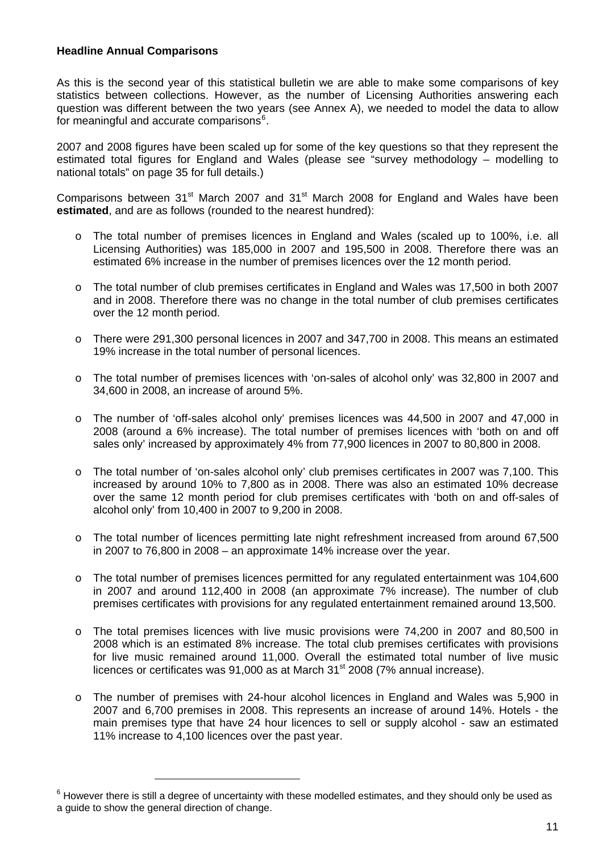### <span id="page-10-0"></span>**Headline Annual Comparisons**

As this is the second year of this statistical bulletin we are able to make some comparisons of key statistics between collections. However, as the number of Licensing Authorities answering each question was different between the two years (see Annex A), we needed to model the data to allow for meaningful and accurate comparisons<sup>[6](#page-10-0)</sup>.

2007 and 2008 figures have been scaled up for some of the key questions so that they represent the estimated total figures for England and Wales (please see "survey methodology – modelling to national totals" on page 35 for full details.)

Comparisons between  $31<sup>st</sup>$  March 2007 and  $31<sup>st</sup>$  March 2008 for England and Wales have been **estimated**, and are as follows (rounded to the nearest hundred):

- o The total number of premises licences in England and Wales (scaled up to 100%, i.e. all Licensing Authorities) was 185,000 in 2007 and 195,500 in 2008. Therefore there was an estimated 6% increase in the number of premises licences over the 12 month period.
- o The total number of club premises certificates in England and Wales was 17,500 in both 2007 and in 2008. Therefore there was no change in the total number of club premises certificates over the 12 month period.
- o There were 291,300 personal licences in 2007 and 347,700 in 2008. This means an estimated 19% increase in the total number of personal licences.
- o The total number of premises licences with 'on-sales of alcohol only' was 32,800 in 2007 and 34,600 in 2008, an increase of around 5%.
- o The number of 'off-sales alcohol only' premises licences was 44,500 in 2007 and 47,000 in 2008 (around a 6% increase). The total number of premises licences with 'both on and off sales only' increased by approximately 4% from 77,900 licences in 2007 to 80,800 in 2008.
- o The total number of 'on-sales alcohol only' club premises certificates in 2007 was 7,100. This increased by around 10% to 7,800 as in 2008. There was also an estimated 10% decrease over the same 12 month period for club premises certificates with 'both on and off-sales of alcohol only' from 10,400 in 2007 to 9,200 in 2008.
- o The total number of licences permitting late night refreshment increased from around 67,500 in 2007 to 76,800 in 2008 – an approximate 14% increase over the year.
- o The total number of premises licences permitted for any regulated entertainment was 104,600 in 2007 and around 112,400 in 2008 (an approximate 7% increase). The number of club premises certificates with provisions for any regulated entertainment remained around 13,500.
- o The total premises licences with live music provisions were 74,200 in 2007 and 80,500 in 2008 which is an estimated 8% increase. The total club premises certificates with provisions for live music remained around 11,000. Overall the estimated total number of live music licences or certificates was  $91,000$  as at March  $31<sup>st</sup>$  2008 (7% annual increase).
- o The number of premises with 24-hour alcohol licences in England and Wales was 5,900 in 2007 and 6,700 premises in 2008. This represents an increase of around 14%. Hotels - the main premises type that have 24 hour licences to sell or supply alcohol - saw an estimated 11% increase to 4,100 licences over the past year.

-

 $6$  However there is still a degree of uncertainty with these modelled estimates, and they should only be used as a guide to show the general direction of change.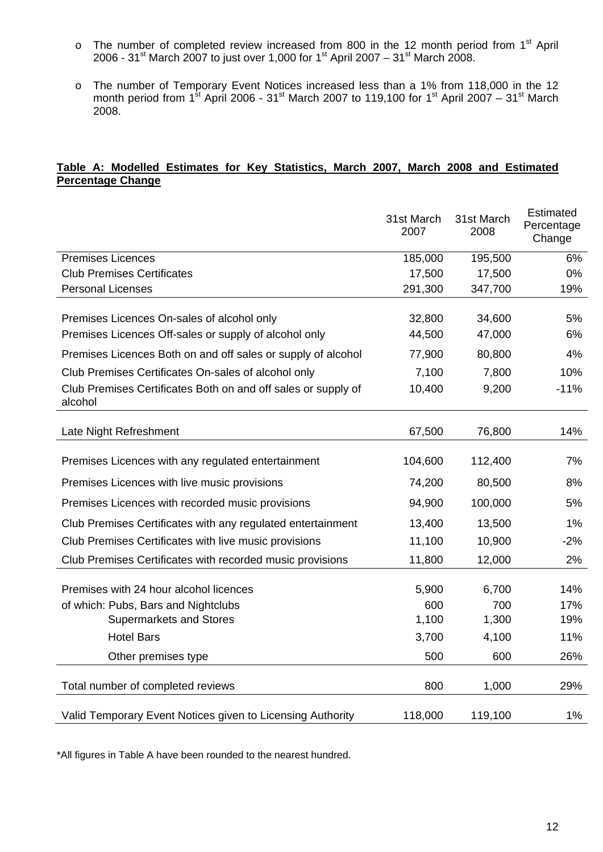- $\circ$  The number of completed review increased from 800 in the 12 month period from 1<sup>st</sup> April 2006 - 31st March 2007 to just over 1,000 for 1st April 2007 – 31st March 2008.
- o The number of Temporary Event Notices increased less than a 1% from 118,000 in the 12 month period from 1<sup>st</sup> April 2006 - 31<sup>st</sup> March 2007 to 119,100 for 1<sup>st</sup> April 2007 – 31<sup>st</sup> March 2008.

#### **Table A: Modelled Estimates for Key Statistics, March 2007, March 2008 and Estimated Percentage Change**

|                                                                          | 31st March<br>2007 | 31st March<br>2008 | Estimated<br>Percentage<br>Change |
|--------------------------------------------------------------------------|--------------------|--------------------|-----------------------------------|
| <b>Premises Licences</b>                                                 | 185,000            | 195,500            | 6%                                |
| <b>Club Premises Certificates</b>                                        | 17,500             | 17,500             | 0%                                |
| <b>Personal Licenses</b>                                                 | 291,300            | 347,700            | 19%                               |
| Premises Licences On-sales of alcohol only                               | 32,800             | 34,600             | 5%                                |
| Premises Licences Off-sales or supply of alcohol only                    | 44,500             | 47,000             | 6%                                |
| Premises Licences Both on and off sales or supply of alcohol             | 77,900             | 80,800             | 4%                                |
| Club Premises Certificates On-sales of alcohol only                      | 7,100              | 7,800              | 10%                               |
| Club Premises Certificates Both on and off sales or supply of<br>alcohol | 10,400             | 9,200              | $-11%$                            |
| Late Night Refreshment                                                   | 67,500             | 76,800             | 14%                               |
| Premises Licences with any regulated entertainment                       | 104,600            | 112,400            | 7%                                |
| Premises Licences with live music provisions                             | 74,200             | 80,500             | 8%                                |
| Premises Licences with recorded music provisions                         | 94,900             | 100,000            | 5%                                |
| Club Premises Certificates with any regulated entertainment              | 13,400             | 13,500             | 1%                                |
| Club Premises Certificates with live music provisions                    | 11,100             | 10,900             | $-2%$                             |
| Club Premises Certificates with recorded music provisions                | 11,800             | 12,000             | 2%                                |
| Premises with 24 hour alcohol licences                                   | 5,900              | 6,700              | 14%                               |
| of which: Pubs, Bars and Nightclubs                                      | 600                | 700                | 17%                               |
| <b>Supermarkets and Stores</b>                                           | 1,100              | 1,300              | 19%                               |
| <b>Hotel Bars</b>                                                        | 3,700              | 4,100              | 11%                               |
| Other premises type                                                      | 500                | 600                | 26%                               |
| Total number of completed reviews                                        | 800                | 1,000              | 29%                               |
| Valid Temporary Event Notices given to Licensing Authority               | 118,000            | 119,100            | 1%                                |

\*All figures in Table A have been rounded to the nearest hundred.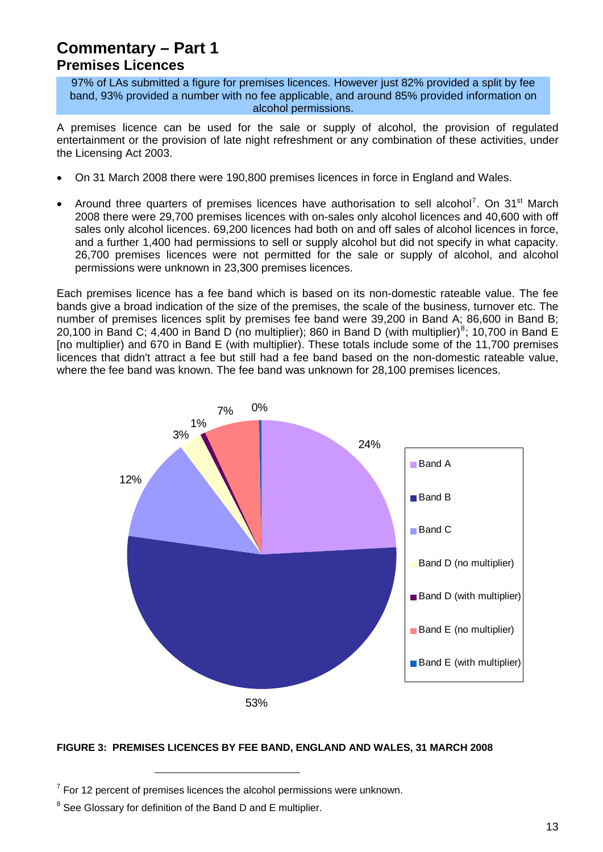### <span id="page-12-0"></span>**Commentary – Part 1 Premises Licences**

97% of LAs submitted a figure for premises licences. However just 82% provided a split by fee band, 93% provided a number with no fee applicable, and around 85% provided information on alcohol permissions.

A premises licence can be used for the sale or supply of alcohol, the provision of regulated entertainment or the provision of late night refreshment or any combination of these activities, under the Licensing Act 2003.

- On 31 March 2008 there were 190,800 premises licences in force in England and Wales.
- Around three quarters of premises licences have authorisation to sell alcohol<sup>[7](#page-12-0)</sup>. On 31<sup>st</sup> March 2008 there were 29,700 premises licences with on-sales only alcohol licences and 40,600 with off sales only alcohol licences. 69,200 licences had both on and off sales of alcohol licences in force, and a further 1,400 had permissions to sell or supply alcohol but did not specify in what capacity. 26,700 premises licences were not permitted for the sale or supply of alcohol, and alcohol permissions were unknown in 23,300 premises licences.

Each premises licence has a fee band which is based on its non-domestic rateable value. The fee bands give a broad indication of the size of the premises, the scale of the business, turnover etc. The number of premises licences split by premises fee band were 39,200 in Band A; 86,600 in Band B; 20,100 in Band C; 4,400 in Band D (no multiplier); [8](#page-12-0)60 in Band D (with multiplier)<sup>8</sup>; 10,700 in Band E [no multiplier) and 670 in Band E (with multiplier). These totals include some of the 11,700 premises licences that didn't attract a fee but still had a fee band based on the non-domestic rateable value, where the fee band was known. The fee band was unknown for 28,100 premises licences.



#### **FIGURE 3: PREMISES LICENCES BY FEE BAND, ENGLAND AND WALES, 31 MARCH 2008**

-

 $7$  For 12 percent of premises licences the alcohol permissions were unknown.

 $8$  See Glossary for definition of the Band D and E multiplier.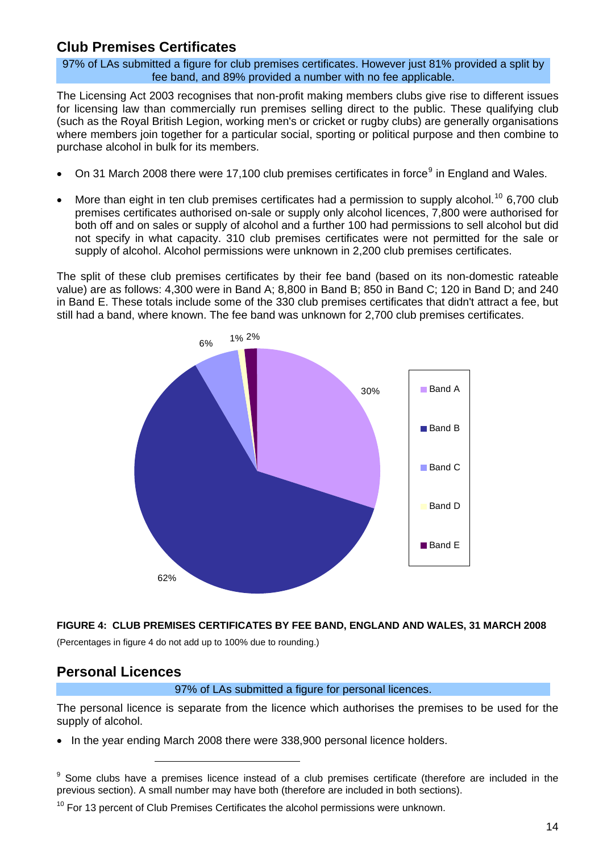### <span id="page-13-0"></span>**Club Premises Certificates**

97% of LAs submitted a figure for club premises certificates. However just 81% provided a split by fee band, and 89% provided a number with no fee applicable.

The Licensing Act 2003 recognises that non-profit making members clubs give rise to different issues for licensing law than commercially run premises selling direct to the public. These qualifying club (such as the Royal British Legion, working men's or cricket or rugby clubs) are generally organisations where members join together for a particular social, sporting or political purpose and then combine to purchase alcohol in bulk for its members.

- On 31 March 2008 there were 17,100 club premises certificates in force<sup>[9](#page-13-0)</sup> in England and Wales.
- More than eight in ten club premises certificates had a permission to supply alcohol.<sup>[10](#page-13-0)</sup> 6,700 club premises certificates authorised on-sale or supply only alcohol licences, 7,800 were authorised for both off and on sales or supply of alcohol and a further 100 had permissions to sell alcohol but did not specify in what capacity. 310 club premises certificates were not permitted for the sale or supply of alcohol. Alcohol permissions were unknown in 2,200 club premises certificates.

The split of these club premises certificates by their fee band (based on its non-domestic rateable value) are as follows: 4,300 were in Band A; 8,800 in Band B; 850 in Band C; 120 in Band D; and 240 in Band E. These totals include some of the 330 club premises certificates that didn't attract a fee, but still had a band, where known. The fee band was unknown for 2,700 club premises certificates.



#### **FIGURE 4: CLUB PREMISES CERTIFICATES BY FEE BAND, ENGLAND AND WALES, 31 MARCH 2008**

(Percentages in figure 4 do not add up to 100% due to rounding.)

### **Personal Licences**

1

97% of LAs submitted a figure for personal licences.

The personal licence is separate from the licence which authorises the premises to be used for the supply of alcohol.

• In the year ending March 2008 there were 338,900 personal licence holders.

<sup>9</sup> Some clubs have a premises licence instead of a club premises certificate (therefore are included in the previous section). A small number may have both (therefore are included in both sections).

 $10$  For 13 percent of Club Premises Certificates the alcohol permissions were unknown.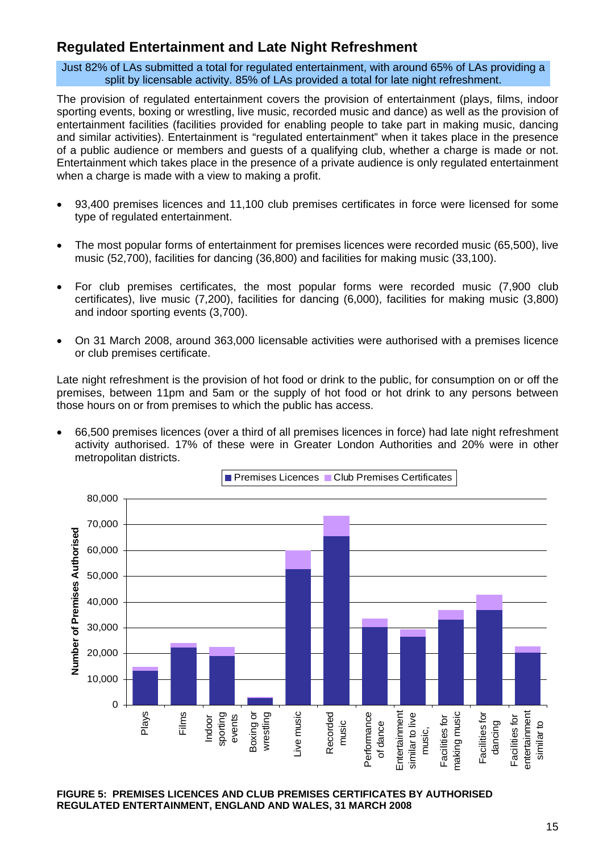### **Regulated Entertainment and Late Night Refreshment**

Just 82% of LAs submitted a total for regulated entertainment, with around 65% of LAs providing a split by licensable activity. 85% of LAs provided a total for late night refreshment.

The provision of regulated entertainment covers the provision of entertainment (plays, films, indoor sporting events, boxing or wrestling, live music, recorded music and dance) as well as the provision of entertainment facilities (facilities provided for enabling people to take part in making music, dancing and similar activities). Entertainment is "regulated entertainment" when it takes place in the presence of a public audience or members and guests of a qualifying club, whether a charge is made or not. Entertainment which takes place in the presence of a private audience is only regulated entertainment when a charge is made with a view to making a profit.

- 93,400 premises licences and 11,100 club premises certificates in force were licensed for some type of regulated entertainment.
- The most popular forms of entertainment for premises licences were recorded music (65,500), live music (52,700), facilities for dancing (36,800) and facilities for making music (33,100).
- For club premises certificates, the most popular forms were recorded music (7,900 club certificates), live music (7,200), facilities for dancing (6,000), facilities for making music (3,800) and indoor sporting events (3,700).
- On 31 March 2008, around 363,000 licensable activities were authorised with a premises licence or club premises certificate.

Late night refreshment is the provision of hot food or drink to the public, for consumption on or off the premises, between 11pm and 5am or the supply of hot food or hot drink to any persons between those hours on or from premises to which the public has access.

• 66,500 premises licences (over a third of all premises licences in force) had late night refreshment activity authorised. 17% of these were in Greater London Authorities and 20% were in other metropolitan districts.



**FIGURE 5: PREMISES LICENCES AND CLUB PREMISES CERTIFICATES BY AUTHORISED REGULATED ENTERTAINMENT, ENGLAND AND WALES, 31 MARCH 2008**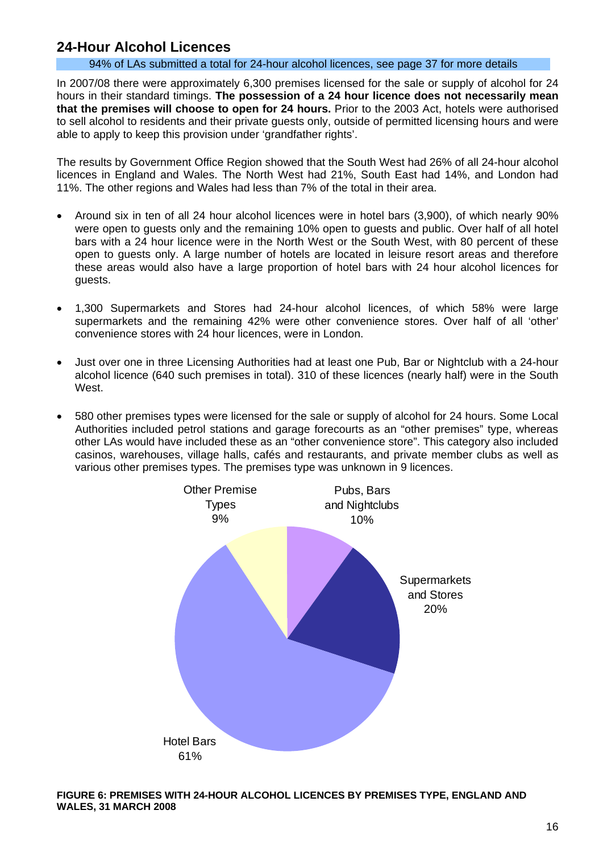### **24-Hour Alcohol Licences**

#### 94% of LAs submitted a total for 24-hour alcohol licences, see page 37 for more details

In 2007/08 there were approximately 6,300 premises licensed for the sale or supply of alcohol for 24 hours in their standard timings. **The possession of a 24 hour licence does not necessarily mean that the premises will choose to open for 24 hours.** Prior to the 2003 Act, hotels were authorised to sell alcohol to residents and their private guests only, outside of permitted licensing hours and were able to apply to keep this provision under 'grandfather rights'.

The results by Government Office Region showed that the South West had 26% of all 24-hour alcohol licences in England and Wales. The North West had 21%, South East had 14%, and London had 11%. The other regions and Wales had less than 7% of the total in their area.

- Around six in ten of all 24 hour alcohol licences were in hotel bars (3,900), of which nearly 90% were open to guests only and the remaining 10% open to guests and public. Over half of all hotel bars with a 24 hour licence were in the North West or the South West, with 80 percent of these open to guests only. A large number of hotels are located in leisure resort areas and therefore these areas would also have a large proportion of hotel bars with 24 hour alcohol licences for guests.
- 1,300 Supermarkets and Stores had 24-hour alcohol licences, of which 58% were large supermarkets and the remaining 42% were other convenience stores. Over half of all 'other' convenience stores with 24 hour licences, were in London.
- Just over one in three Licensing Authorities had at least one Pub, Bar or Nightclub with a 24-hour alcohol licence (640 such premises in total). 310 of these licences (nearly half) were in the South **West**
- 580 other premises types were licensed for the sale or supply of alcohol for 24 hours. Some Local Authorities included petrol stations and garage forecourts as an "other premises" type, whereas other LAs would have included these as an "other convenience store". This category also included casinos, warehouses, village halls, cafés and restaurants, and private member clubs as well as various other premises types. The premises type was unknown in 9 licences.



**FIGURE 6: PREMISES WITH 24-HOUR ALCOHOL LICENCES BY PREMISES TYPE, ENGLAND AND WALES, 31 MARCH 2008**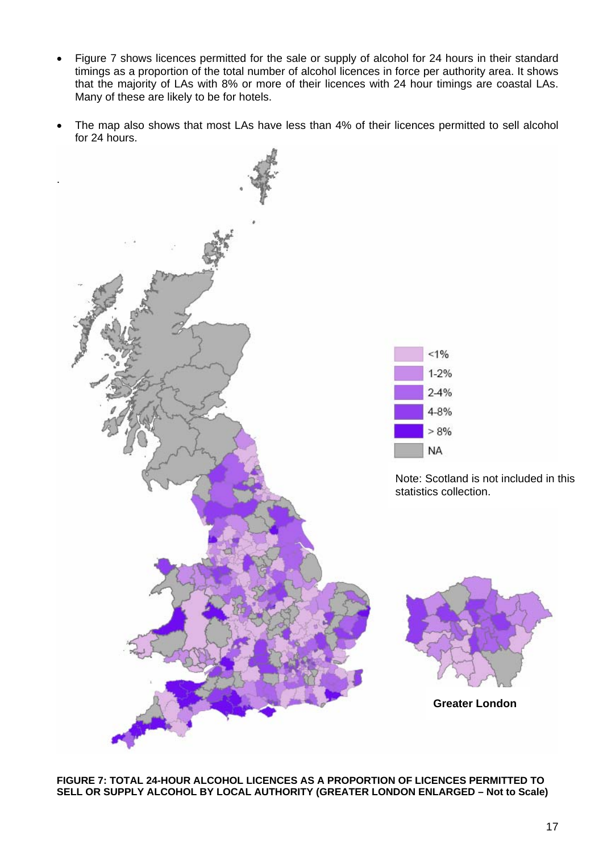- Figure 7 shows licences permitted for the sale or supply of alcohol for 24 hours in their standard timings as a proportion of the total number of alcohol licences in force per authority area. It shows that the majority of LAs with 8% or more of their licences with 24 hour timings are coastal LAs. Many of these are likely to be for hotels.
- The map also shows that most LAs have less than 4% of their licences permitted to sell alcohol for 24 hours.



**FIGURE 7: TOTAL 24-HOUR ALCOHOL LICENCES AS A PROPORTION OF LICENCES PERMITTED TO SELL OR SUPPLY ALCOHOL BY LOCAL AUTHORITY (GREATER LONDON ENLARGED – Not to Scale)**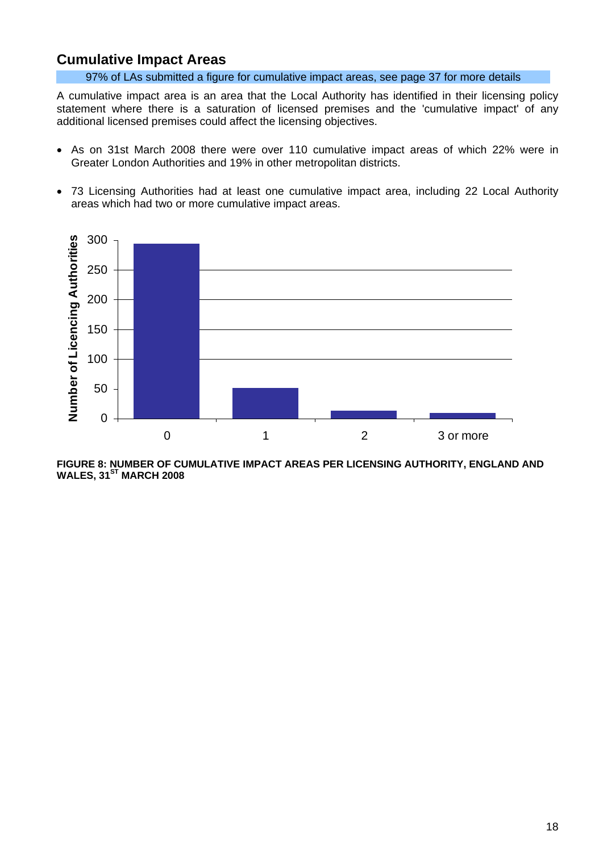### **Cumulative Impact Areas**

97% of LAs submitted a figure for cumulative impact areas, see page 37 for more details

A cumulative impact area is an area that the Local Authority has identified in their licensing policy statement where there is a saturation of licensed premises and the 'cumulative impact' of any additional licensed premises could affect the licensing objectives.

- As on 31st March 2008 there were over 110 cumulative impact areas of which 22% were in Greater London Authorities and 19% in other metropolitan districts.
- 73 Licensing Authorities had at least one cumulative impact area, including 22 Local Authority areas which had two or more cumulative impact areas.



**FIGURE 8: NUMBER OF CUMULATIVE IMPACT AREAS PER LICENSING AUTHORITY, ENGLAND AND WALES, 31ST MARCH 2008**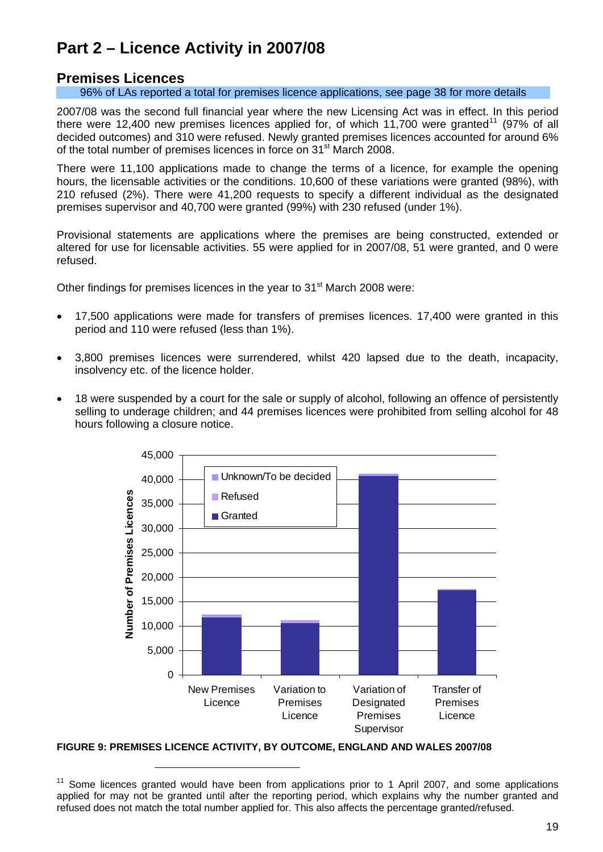## <span id="page-18-0"></span>**Part 2 – Licence Activity in 2007/08**

### **Premises Licences**

96% of LAs reported a total for premises licence applications, see page 38 for more details

2007/08 was the second full financial year where the new Licensing Act was in effect. In this period there were 12,400 new premises licences applied for, of which [11](#page-18-0),700 were granted<sup>11</sup> (97% of all decided outcomes) and 310 were refused. Newly granted premises licences accounted for around 6% of the total number of premises licences in force on 31<sup>st</sup> March 2008.

There were 11,100 applications made to change the terms of a licence, for example the opening hours, the licensable activities or the conditions. 10,600 of these variations were granted (98%), with 210 refused (2%). There were 41,200 requests to specify a different individual as the designated premises supervisor and 40,700 were granted (99%) with 230 refused (under 1%).

Provisional statements are applications where the premises are being constructed, extended or altered for use for licensable activities. 55 were applied for in 2007/08, 51 were granted, and 0 were refused.

Other findings for premises licences in the year to  $31<sup>st</sup>$  March 2008 were:

- 17,500 applications were made for transfers of premises licences. 17,400 were granted in this period and 110 were refused (less than 1%).
- 3,800 premises licences were surrendered, whilst 420 lapsed due to the death, incapacity, insolvency etc. of the licence holder.
- 18 were suspended by a court for the sale or supply of alcohol, following an offence of persistently selling to underage children; and 44 premises licences were prohibited from selling alcohol for 48 hours following a closure notice.



**FIGURE 9: PREMISES LICENCE ACTIVITY, BY OUTCOME, ENGLAND AND WALES 2007/08** 

1

 $11$  Some licences granted would have been from applications prior to 1 April 2007, and some applications applied for may not be granted until after the reporting period, which explains why the number granted and refused does not match the total number applied for. This also affects the percentage granted/refused.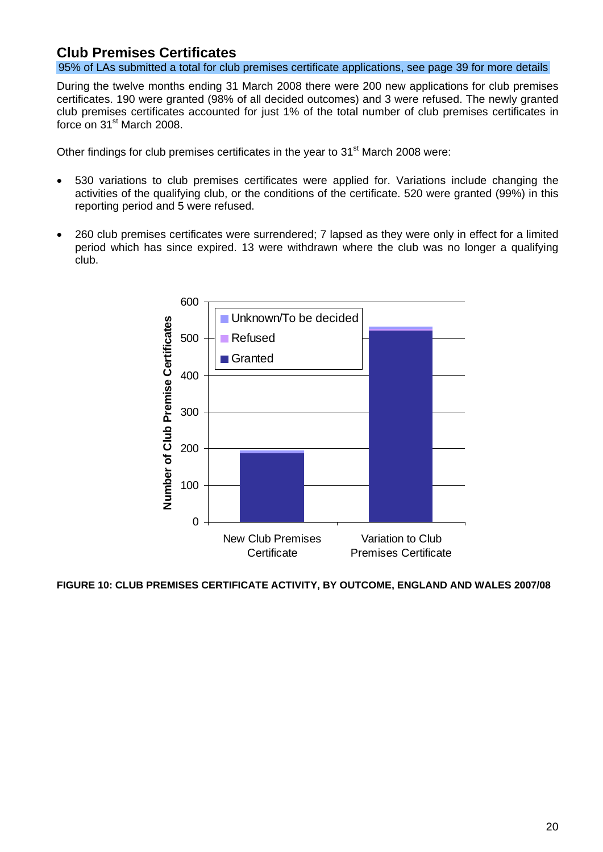### **Club Premises Certificates**

95% of LAs submitted a total for club premises certificate applications, see page 39 for more details

During the twelve months ending 31 March 2008 there were 200 new applications for club premises certificates. 190 were granted (98% of all decided outcomes) and 3 were refused. The newly granted club premises certificates accounted for just 1% of the total number of club premises certificates in force on 31<sup>st</sup> March 2008.

Other findings for club premises certificates in the year to 31<sup>st</sup> March 2008 were:

- 530 variations to club premises certificates were applied for. Variations include changing the activities of the qualifying club, or the conditions of the certificate. 520 were granted (99%) in this reporting period and 5 were refused.
- 260 club premises certificates were surrendered; 7 lapsed as they were only in effect for a limited period which has since expired. 13 were withdrawn where the club was no longer a qualifying club.



**FIGURE 10: CLUB PREMISES CERTIFICATE ACTIVITY, BY OUTCOME, ENGLAND AND WALES 2007/08**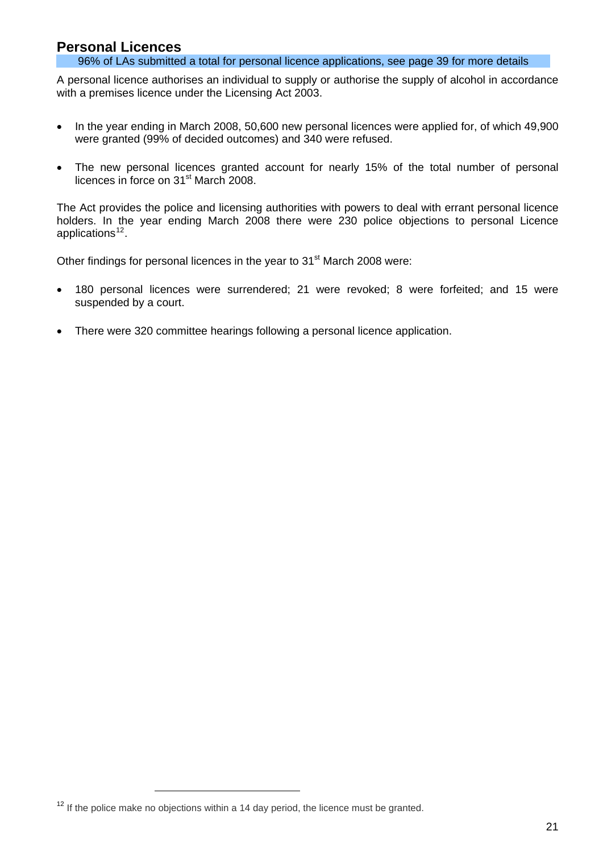### <span id="page-20-0"></span>**Personal Licences**

96% of LAs submitted a total for personal licence applications, see page 39 for more details

A personal licence authorises an individual to supply or authorise the supply of alcohol in accordance with a premises licence under the Licensing Act 2003.

- In the year ending in March 2008, 50,600 new personal licences were applied for, of which 49,900 were granted (99% of decided outcomes) and 340 were refused.
- The new personal licences granted account for nearly 15% of the total number of personal licences in force on 31<sup>st</sup> March 2008.

The Act provides the police and licensing authorities with powers to deal with errant personal licence holders. In the year ending March 2008 there were 230 police objections to personal Licence applications $12$ .

Other findings for personal licences in the year to 31<sup>st</sup> March 2008 were:

- 180 personal licences were surrendered; 21 were revoked; 8 were forfeited; and 15 were suspended by a court.
- There were 320 committee hearings following a personal licence application.

 $\overline{a}$ 

 $12$  If the police make no objections within a 14 day period, the licence must be granted.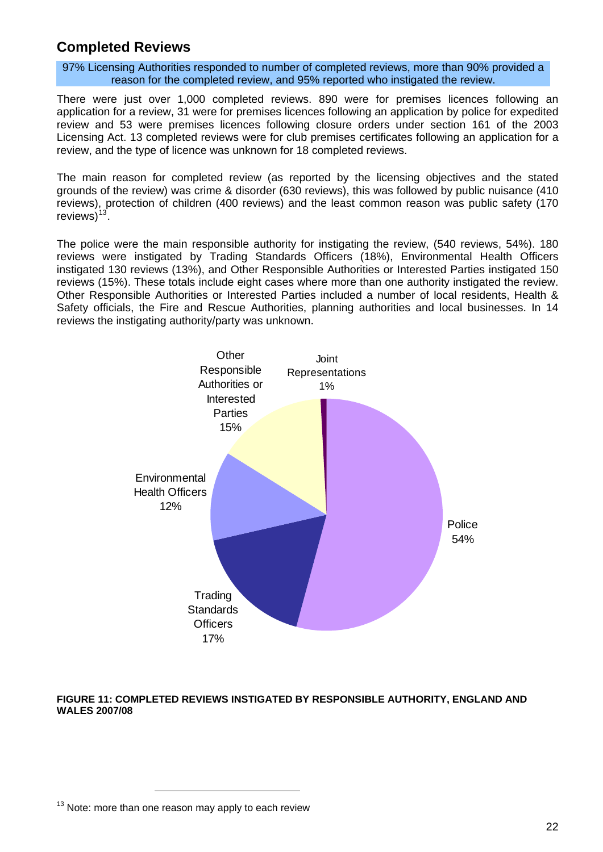### <span id="page-21-0"></span>**Completed Reviews**

97% Licensing Authorities responded to number of completed reviews, more than 90% provided a reason for the completed review, and 95% reported who instigated the review.

There were just over 1,000 completed reviews. 890 were for premises licences following an application for a review, 31 were for premises licences following an application by police for expedited review and 53 were premises licences following closure orders under section 161 of the 2003 Licensing Act. 13 completed reviews were for club premises certificates following an application for a review, and the type of licence was unknown for 18 completed reviews.

The main reason for completed review (as reported by the licensing objectives and the stated grounds of the review) was crime & disorder (630 reviews), this was followed by public nuisance (410 reviews), protection of children (400 reviews) and the least common reason was public safety (170 reviews $)^{13}$  $)^{13}$  $)^{13}$ 

The police were the main responsible authority for instigating the review, (540 reviews, 54%). 180 reviews were instigated by Trading Standards Officers (18%), Environmental Health Officers instigated 130 reviews (13%), and Other Responsible Authorities or Interested Parties instigated 150 reviews (15%). These totals include eight cases where more than one authority instigated the review. Other Responsible Authorities or Interested Parties included a number of local residents, Health & Safety officials, the Fire and Rescue Authorities, planning authorities and local businesses. In 14 reviews the instigating authority/party was unknown.



#### **FIGURE 11: COMPLETED REVIEWS INSTIGATED BY RESPONSIBLE AUTHORITY, ENGLAND AND WALES 2007/08**

 $\overline{a}$ 

 $13$  Note: more than one reason may apply to each review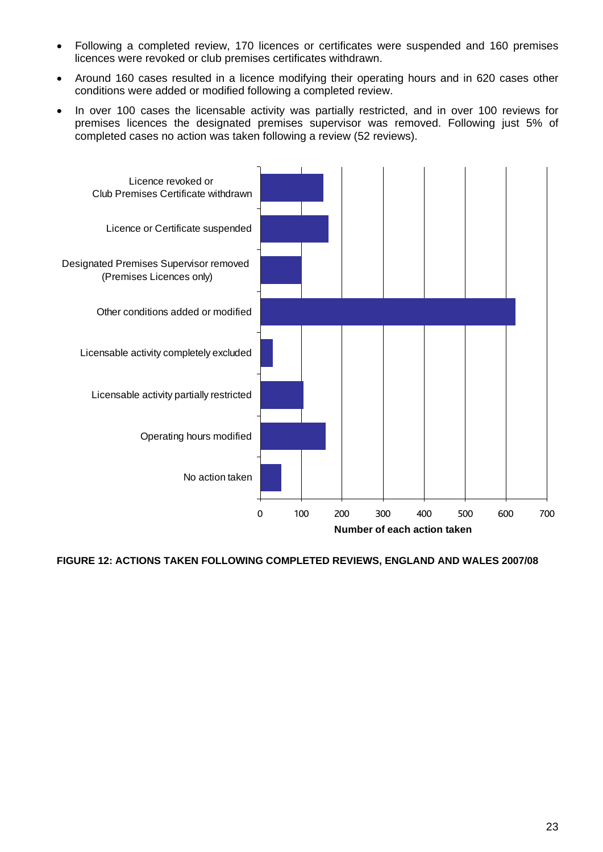- Following a completed review, 170 licences or certificates were suspended and 160 premises licences were revoked or club premises certificates withdrawn.
- Around 160 cases resulted in a licence modifying their operating hours and in 620 cases other conditions were added or modified following a completed review.
- In over 100 cases the licensable activity was partially restricted, and in over 100 reviews for premises licences the designated premises supervisor was removed. Following just 5% of completed cases no action was taken following a review (52 reviews).



**FIGURE 12: ACTIONS TAKEN FOLLOWING COMPLETED REVIEWS, ENGLAND AND WALES 2007/08**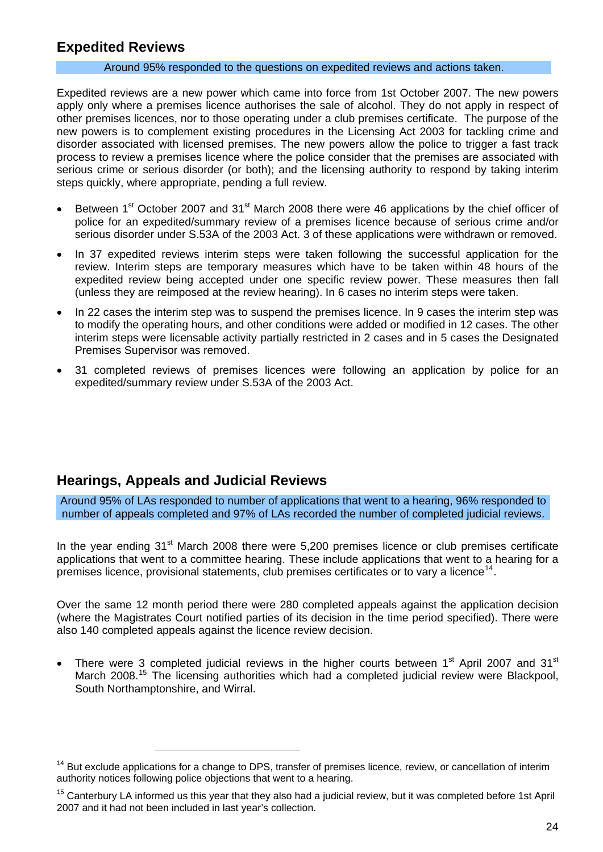### <span id="page-23-0"></span>**Expedited Reviews**

#### Around 95% responded to the questions on expedited reviews and actions taken.

Expedited reviews are a new power which came into force from 1st October 2007. The new powers apply only where a premises licence authorises the sale of alcohol. They do not apply in respect of other premises licences, nor to those operating under a club premises certificate. The purpose of the new powers is to complement existing procedures in the Licensing Act 2003 for tackling crime and disorder associated with licensed premises. The new powers allow the police to trigger a fast track process to review a premises licence where the police consider that the premises are associated with serious crime or serious disorder (or both); and the licensing authority to respond by taking interim steps quickly, where appropriate, pending a full review.

- Between 1<sup>st</sup> October 2007 and 31<sup>st</sup> March 2008 there were 46 applications by the chief officer of police for an expedited/summary review of a premises licence because of serious crime and/or serious disorder under S.53A of the 2003 Act. 3 of these applications were withdrawn or removed.
- In 37 expedited reviews interim steps were taken following the successful application for the review. Interim steps are temporary measures which have to be taken within 48 hours of the expedited review being accepted under one specific review power. These measures then fall (unless they are reimposed at the review hearing). In 6 cases no interim steps were taken.
- In 22 cases the interim step was to suspend the premises licence. In 9 cases the interim step was to modify the operating hours, and other conditions were added or modified in 12 cases. The other interim steps were licensable activity partially restricted in 2 cases and in 5 cases the Designated Premises Supervisor was removed.
- 31 completed reviews of premises licences were following an application by police for an expedited/summary review under S.53A of the 2003 Act.

### **Hearings, Appeals and Judicial Reviews**

 $\overline{a}$ 

Around 95% of LAs responded to number of applications that went to a hearing, 96% responded to number of appeals completed and 97% of LAs recorded the number of completed judicial reviews.

In the year ending  $31<sup>st</sup>$  March 2008 there were 5,200 premises licence or club premises certificate applications that went to a committee hearing. These include applications that went to a hearing for a premises licence, provisional statements, club premises certificates or to vary a licence<sup>[14](#page-23-0)</sup>.

Over the same 12 month period there were 280 completed appeals against the application decision (where the Magistrates Court notified parties of its decision in the time period specified). There were also 140 completed appeals against the licence review decision.

There were 3 completed judicial reviews in the higher courts between  $1<sup>st</sup>$  April 2007 and 31 $<sup>st</sup>$ </sup> March 2008.<sup>[15](#page-23-0)</sup> The licensing authorities which had a completed judicial review were Blackpool, South Northamptonshire, and Wirral.

<sup>&</sup>lt;sup>14</sup> But exclude applications for a change to DPS, transfer of premises licence, review, or cancellation of interim authority notices following police objections that went to a hearing.

<sup>&</sup>lt;sup>15</sup> Canterburv LA informed us this vear that thev also had a judicial review, but it was completed before 1st April 2007 and it had not been included in last year's collection.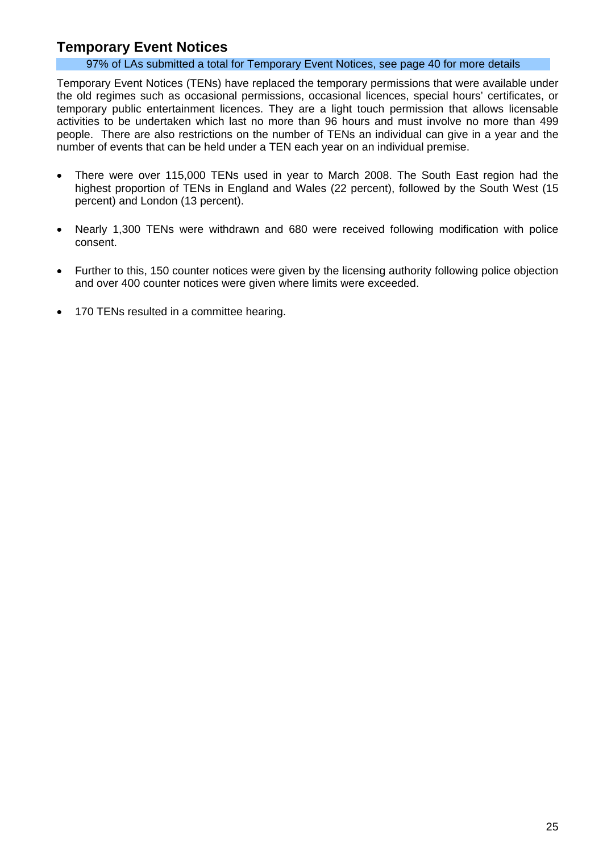### **Temporary Event Notices**

### 97% of LAs submitted a total for Temporary Event Notices, see page 40 for more details

Temporary Event Notices (TENs) have replaced the temporary permissions that were available under the old regimes such as occasional permissions, occasional licences, special hours' certificates, or temporary public entertainment licences. They are a light touch permission that allows licensable activities to be undertaken which last no more than 96 hours and must involve no more than 499 people. There are also restrictions on the number of TENs an individual can give in a year and the number of events that can be held under a TEN each year on an individual premise.

- There were over 115,000 TENs used in year to March 2008. The South East region had the highest proportion of TENs in England and Wales (22 percent), followed by the South West (15 percent) and London (13 percent).
- Nearly 1,300 TENs were withdrawn and 680 were received following modification with police consent.
- Further to this, 150 counter notices were given by the licensing authority following police objection and over 400 counter notices were given where limits were exceeded.
- 170 TENs resulted in a committee hearing.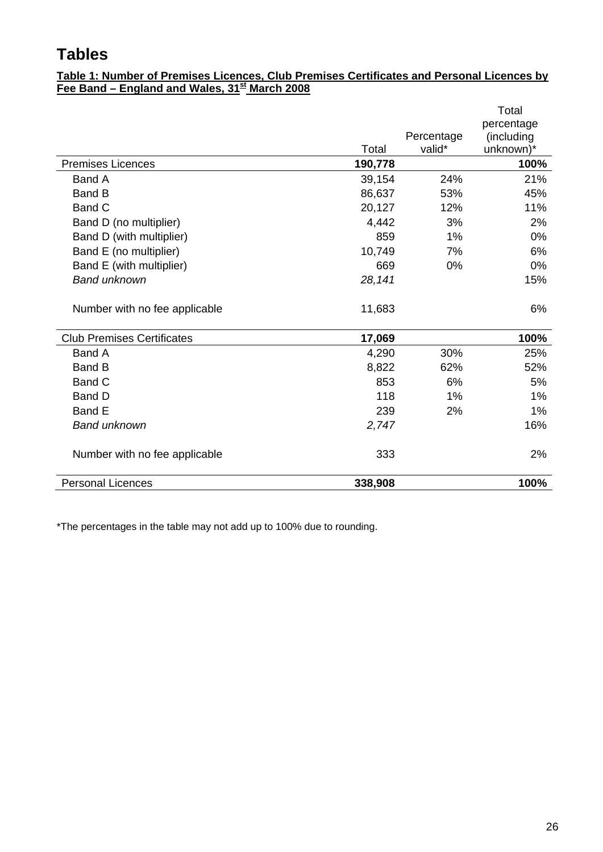## **Tables**

### **Table 1: Number of Premises Licences, Club Premises Certificates and Personal Licences by Fee Band – England and Wales, 31st March 2008**

|                                   |         |                      | Total<br>percentage     |
|-----------------------------------|---------|----------------------|-------------------------|
|                                   | Total   | Percentage<br>valid* | (including<br>unknown)* |
| <b>Premises Licences</b>          | 190,778 |                      | 100%                    |
| Band A                            | 39,154  | 24%                  | 21%                     |
| <b>Band B</b>                     | 86,637  | 53%                  | 45%                     |
| <b>Band C</b>                     | 20,127  | 12%                  | 11%                     |
| Band D (no multiplier)            | 4,442   | 3%                   | 2%                      |
| Band D (with multiplier)          | 859     | 1%                   | 0%                      |
| Band E (no multiplier)            | 10,749  | 7%                   | 6%                      |
| Band E (with multiplier)          | 669     | 0%                   | 0%                      |
| <b>Band unknown</b>               | 28,141  |                      | 15%                     |
| Number with no fee applicable     | 11,683  |                      | 6%                      |
| <b>Club Premises Certificates</b> | 17,069  |                      | 100%                    |
| <b>Band A</b>                     | 4,290   | 30%                  | 25%                     |
| <b>Band B</b>                     | 8,822   | 62%                  | 52%                     |
| <b>Band C</b>                     | 853     | 6%                   | 5%                      |
| <b>Band D</b>                     | 118     | 1%                   | 1%                      |
| Band E                            | 239     | 2%                   | 1%                      |
| <b>Band unknown</b>               | 2,747   |                      | 16%                     |
| Number with no fee applicable     | 333     |                      | 2%                      |
| <b>Personal Licences</b>          | 338,908 |                      | 100%                    |

\*The percentages in the table may not add up to 100% due to rounding.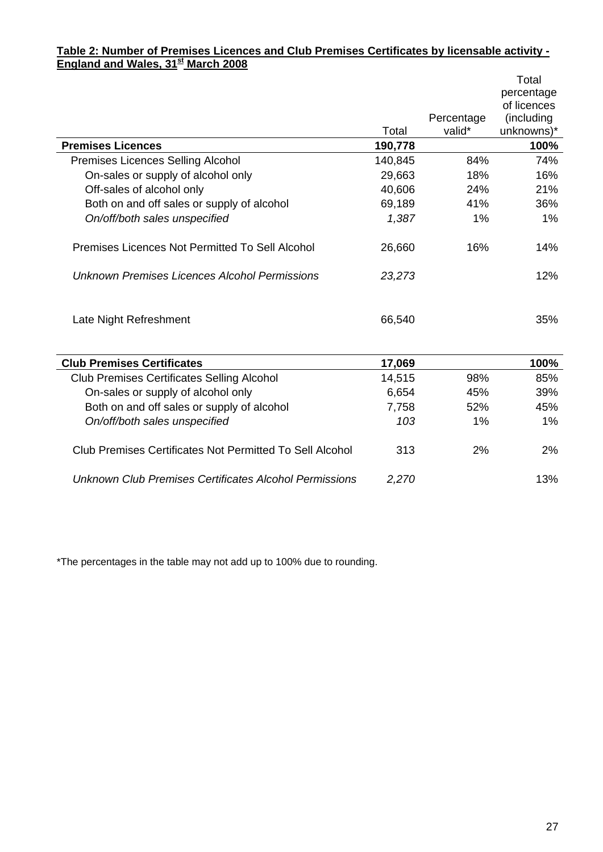#### **Table 2: Number of Premises Licences and Club Premises Certificates by licensable activity - England and Wales, 31st March 2008**

|                                                          |         |            | Total       |
|----------------------------------------------------------|---------|------------|-------------|
|                                                          |         |            | percentage  |
|                                                          |         |            | of licences |
|                                                          |         | Percentage | (including  |
|                                                          | Total   | valid*     | unknowns)*  |
| <b>Premises Licences</b>                                 | 190,778 |            | 100%        |
| Premises Licences Selling Alcohol                        | 140,845 | 84%        | 74%         |
| On-sales or supply of alcohol only                       | 29,663  | 18%        | 16%         |
| Off-sales of alcohol only                                | 40,606  | 24%        | 21%         |
| Both on and off sales or supply of alcohol               | 69,189  | 41%        | 36%         |
| On/off/both sales unspecified                            | 1,387   | 1%         | 1%          |
| Premises Licences Not Permitted To Sell Alcohol          | 26,660  | 16%        | 14%         |
| Unknown Premises Licences Alcohol Permissions            | 23,273  |            | 12%         |
| Late Night Refreshment                                   | 66,540  |            | 35%         |
| <b>Club Premises Certificates</b>                        | 17,069  |            | 100%        |
| <b>Club Premises Certificates Selling Alcohol</b>        | 14,515  | 98%        | 85%         |
| On-sales or supply of alcohol only                       | 6,654   | 45%        | 39%         |
| Both on and off sales or supply of alcohol               | 7,758   | 52%        | 45%         |
| On/off/both sales unspecified                            | 103     | 1%         | 1%          |
| Club Premises Certificates Not Permitted To Sell Alcohol | 313     | 2%         | 2%          |
| Unknown Club Premises Certificates Alcohol Permissions   | 2,270   |            | 13%         |

\*The percentages in the table may not add up to 100% due to rounding.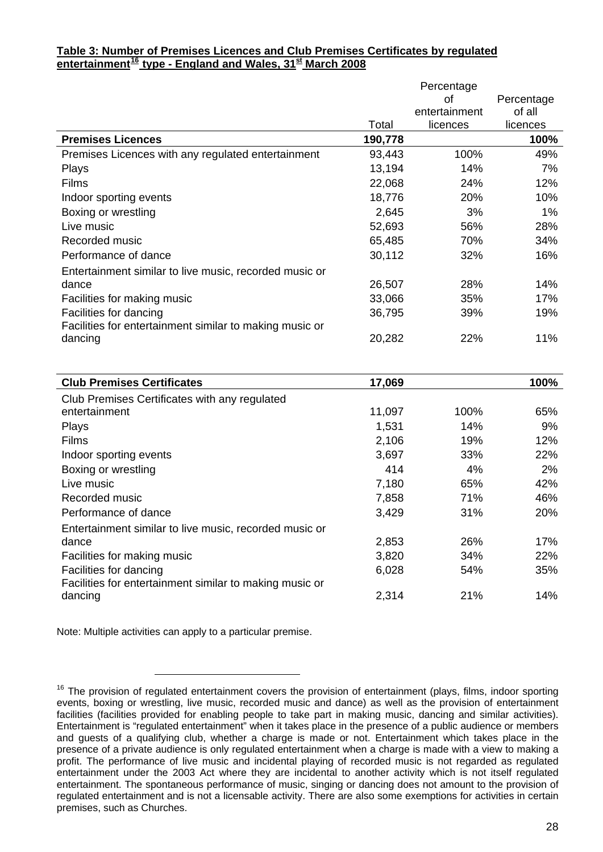### <span id="page-27-0"></span>**Table 3: Number of Premises Licences and Club Premises Certificates by regulated entertainment [16](#page-27-0) type - England and Wales, 31st March 2008**

|        | Percentage       |                           |
|--------|------------------|---------------------------|
|        | οf               | Percentage                |
|        |                  | of all                    |
|        |                  | licences                  |
|        |                  | 100%                      |
| 93,443 | 100%             | 49%                       |
| 13,194 | 14%              | 7%                        |
| 22,068 | 24%              | 12%                       |
| 18,776 | 20%              | 10%                       |
| 2,645  | 3%               | 1%                        |
| 52,693 | 56%              | 28%                       |
| 65,485 | 70%              | 34%                       |
| 30,112 | 32%              | 16%                       |
|        |                  |                           |
| 26,507 | 28%              | 14%                       |
| 33,066 | 35%              | 17%                       |
| 36,795 | 39%              | 19%                       |
|        |                  |                           |
| 20,282 | 22%              | 11%                       |
|        |                  |                           |
|        |                  |                           |
| 17,069 |                  | 100%                      |
|        |                  |                           |
| 11,097 | 100%             | 65%                       |
| 1,531  | 14%              | 9%                        |
| 2,106  | 19%              | 12%                       |
| 3,697  | 33%              | 22%                       |
| 414    | 4%               | 2%                        |
| 7,180  | 65%              | 42%                       |
| 7,858  | 71%              | 46%                       |
| 3,429  | 31%              | 20%                       |
|        |                  |                           |
| 2,853  | 26%              | 17%                       |
| 3,820  | 34%              | 22%                       |
| 6,028  | 54%              | 35%                       |
|        |                  |                           |
| 2,314  | 21%              | 14%                       |
|        | Total<br>190,778 | entertainment<br>licences |

Note: Multiple activities can apply to a particular premise.

-

 $16$  The provision of regulated entertainment covers the provision of entertainment (plays, films, indoor sporting events, boxing or wrestling, live music, recorded music and dance) as well as the provision of entertainment facilities (facilities provided for enabling people to take part in making music, dancing and similar activities). Entertainment is "regulated entertainment" when it takes place in the presence of a public audience or members and guests of a qualifying club, whether a charge is made or not. Entertainment which takes place in the presence of a private audience is only regulated entertainment when a charge is made with a view to making a profit. The performance of live music and incidental playing of recorded music is not regarded as regulated entertainment under the 2003 Act where they are incidental to another activity which is not itself regulated entertainment. The spontaneous performance of music, singing or dancing does not amount to the provision of regulated entertainment and is not a licensable activity. There are also some exemptions for activities in certain premises, such as Churches.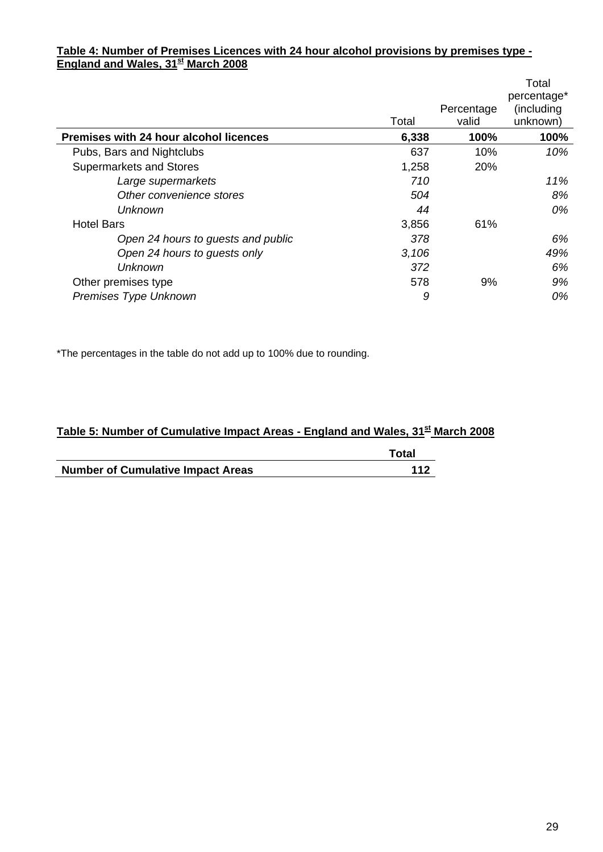### **Table 4: Number of Premises Licences with 24 hour alcohol provisions by premises type - England and Wales, 31st March 2008**

|                                               | Total | Percentage<br>valid | Total<br>percentage*<br>(including<br>unknown) |
|-----------------------------------------------|-------|---------------------|------------------------------------------------|
| <b>Premises with 24 hour alcohol licences</b> | 6,338 | 100%                | 100%                                           |
| Pubs, Bars and Nightclubs                     | 637   | 10%                 | 10%                                            |
| <b>Supermarkets and Stores</b>                | 1,258 | 20%                 |                                                |
| Large supermarkets                            | 710   |                     | 11%                                            |
| Other convenience stores                      | 504   |                     | 8%                                             |
| Unknown                                       | 44    |                     | 0%                                             |
| <b>Hotel Bars</b>                             | 3,856 | 61%                 |                                                |
| Open 24 hours to guests and public            | 378   |                     | 6%                                             |
| Open 24 hours to guests only                  | 3,106 |                     | 49%                                            |
| Unknown                                       | 372   |                     | 6%                                             |
| Other premises type                           | 578   | 9%                  | 9%                                             |
| Premises Type Unknown                         | 9     |                     | 0%                                             |

\*The percentages in the table do not add up to 100% due to rounding.

### Table 5: Number of Cumulative Impact Areas - England and Wales, 31<sup>st</sup> March 2008

|                                          | Total |
|------------------------------------------|-------|
| <b>Number of Cumulative Impact Areas</b> | 112   |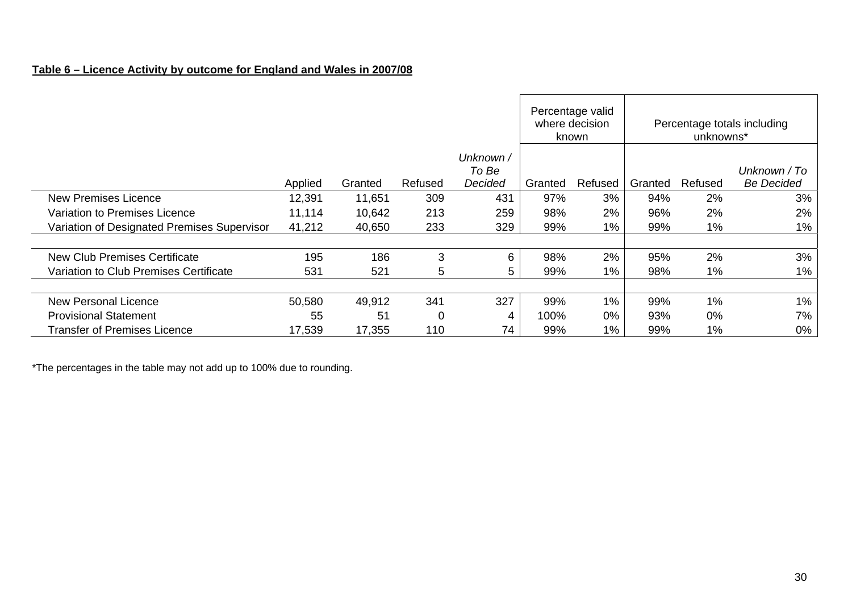### **Table 6 – Licence Activity by outcome for England and Wales in 2007/08**

|                                             |         |         |                |                  | Percentage valid<br>where decision<br>known |         | Percentage totals including<br>unknowns* |         |                                   |
|---------------------------------------------|---------|---------|----------------|------------------|---------------------------------------------|---------|------------------------------------------|---------|-----------------------------------|
|                                             |         |         |                | Unknown /        |                                             |         |                                          |         |                                   |
|                                             | Applied | Granted | Refused        | To Be<br>Decided | Granted                                     | Refused | Granted                                  | Refused | Unknown / To<br><b>Be Decided</b> |
|                                             |         |         |                |                  |                                             |         |                                          |         |                                   |
| <b>New Premises Licence</b>                 | 12,391  | 11,651  | 309            | 431              | 97%                                         | 3%      | 94%                                      | 2%      | 3%                                |
| Variation to Premises Licence               | 11,114  | 10,642  | 213            | 259              | 98%                                         | 2%      | 96%                                      | 2%      | 2%                                |
| Variation of Designated Premises Supervisor | 41,212  | 40,650  | 233            | 329              | 99%                                         | $1\%$   | 99%                                      | $1\%$   | $1\%$                             |
|                                             |         |         |                |                  |                                             |         |                                          |         |                                   |
| <b>New Club Premises Certificate</b>        | 195     | 186     | 3              | 6                | 98%                                         | 2%      | 95%                                      | 2%      | 3%                                |
| Variation to Club Premises Certificate      | 531     | 521     | 5              | 5                | 99%                                         | 1%      | 98%                                      | $1\%$   | $1\%$                             |
|                                             |         |         |                |                  |                                             |         |                                          |         |                                   |
| New Personal Licence                        | 50,580  | 49,912  | 341            | 327              | 99%                                         | $1\%$   | 99%                                      | 1%      | $1\%$                             |
| <b>Provisional Statement</b>                | 55      | 51      | $\overline{0}$ | 4                | 100%                                        | 0%      | 93%                                      | 0%      | 7%                                |
| <b>Transfer of Premises Licence</b>         | 17,539  | 17,355  | 110            | 74               | 99%                                         | $1\%$   | 99%                                      | 1%      | 0%                                |

\*The percentages in the table may not add up to 100% due to rounding.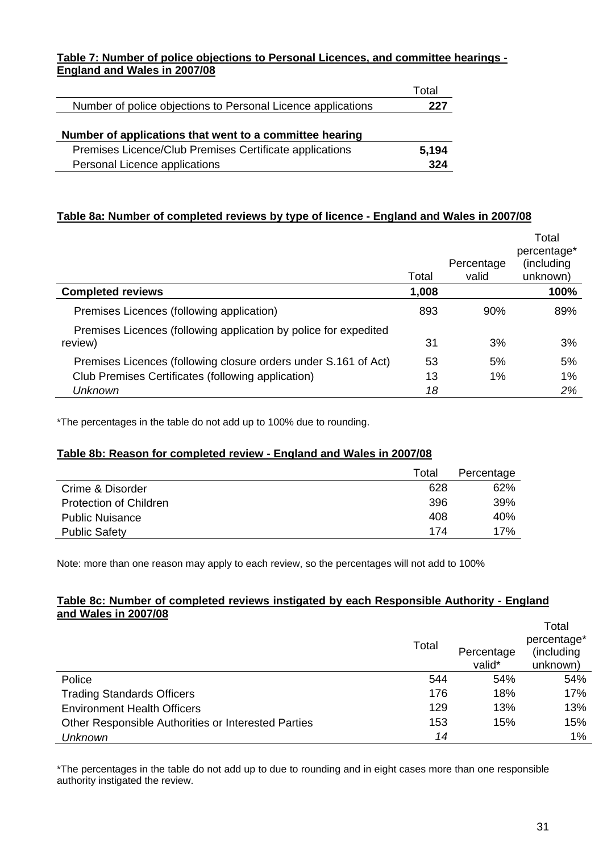### **Table 7: Number of police objections to Personal Licences, and committee hearings - England and Wales in 2007/08**

|                                                              | Total |
|--------------------------------------------------------------|-------|
| Number of police objections to Personal Licence applications | 227   |
|                                                              |       |
|                                                              |       |
| Number of applications that went to a committee hearing      |       |
| Premises Licence/Club Premises Certificate applications      | 5,194 |

#### **Table 8a: Number of completed reviews by type of licence - England and Wales in 2007/08**

|                                                                             | Total | Percentage<br>valid | Total<br>percentage*<br>(including<br>unknown) |
|-----------------------------------------------------------------------------|-------|---------------------|------------------------------------------------|
| <b>Completed reviews</b>                                                    | 1,008 |                     | 100%                                           |
| Premises Licences (following application)                                   | 893   | 90%                 | 89%                                            |
| Premises Licences (following application by police for expedited<br>review) | 31    | 3%                  | 3%                                             |
| Premises Licences (following closure orders under S.161 of Act)             | 53    | 5%                  | 5%                                             |
| Club Premises Certificates (following application)                          | 13    | 1%                  | $1\%$                                          |
| <b>Unknown</b>                                                              | 18    |                     | 2%                                             |

\*The percentages in the table do not add up to 100% due to rounding.

#### **Table 8b: Reason for completed review - England and Wales in 2007/08**

|                               | Total | Percentage |
|-------------------------------|-------|------------|
| Crime & Disorder              | 628   | 62%        |
| <b>Protection of Children</b> | 396   | 39%        |
| <b>Public Nuisance</b>        | 408   | 40%        |
| <b>Public Safety</b>          | 174   | 17%        |

Note: more than one reason may apply to each review, so the percentages will not add to 100%

#### **Table 8c: Number of completed reviews instigated by each Responsible Authority - England and Wales in 2007/08**

|                                                     | Total | Percentage<br>valid* | Total<br>percentage*<br>(including<br>unknown) |
|-----------------------------------------------------|-------|----------------------|------------------------------------------------|
| Police                                              | 544   | 54%                  | 54%                                            |
| <b>Trading Standards Officers</b>                   | 176   | 18%                  | 17%                                            |
| <b>Environment Health Officers</b>                  | 129   | 13%                  | 13%                                            |
| Other Responsible Authorities or Interested Parties | 153   | 15%                  | 15%                                            |
| <b>Unknown</b>                                      | 14    |                      | 1%                                             |

\*The percentages in the table do not add up to due to rounding and in eight cases more than one responsible authority instigated the review.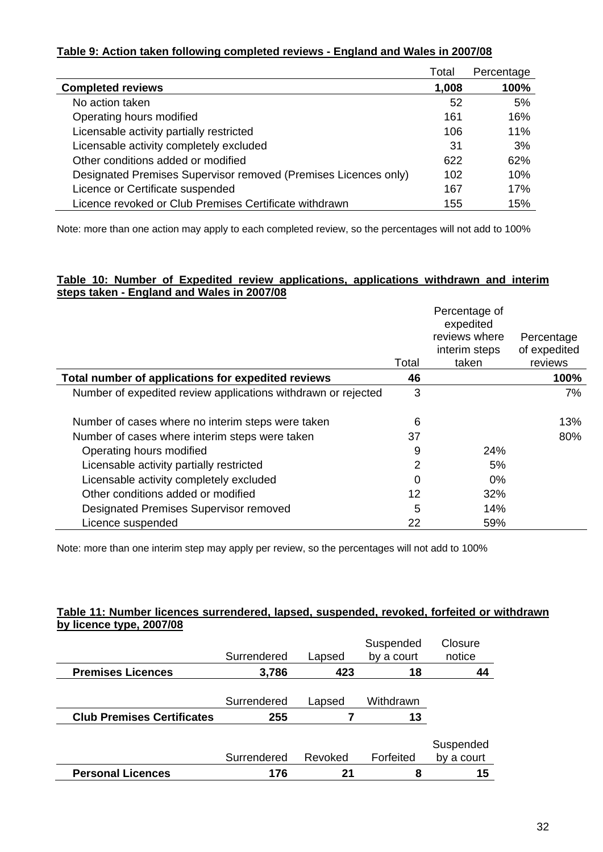### **Table 9: Action taken following completed reviews - England and Wales in 2007/08**

|                                                                 | Total | Percentage |
|-----------------------------------------------------------------|-------|------------|
| <b>Completed reviews</b>                                        | 1,008 | 100%       |
| No action taken                                                 | 52    | 5%         |
| Operating hours modified                                        | 161   | 16%        |
| Licensable activity partially restricted                        | 106   | 11%        |
| Licensable activity completely excluded                         | 31    | 3%         |
| Other conditions added or modified                              | 622   | 62%        |
| Designated Premises Supervisor removed (Premises Licences only) | 102   | 10%        |
| Licence or Certificate suspended                                | 167   | 17%        |
| Licence revoked or Club Premises Certificate withdrawn          | 155   | 15%        |

Note: more than one action may apply to each completed review, so the percentages will not add to 100%

#### **Table 10: Number of Expedited review applications, applications withdrawn and interim steps taken - England and Wales in 2007/08**

|                                                               | Total    | Percentage of<br>expedited<br>reviews where<br>interim steps<br>taken | Percentage<br>of expedited<br>reviews |
|---------------------------------------------------------------|----------|-----------------------------------------------------------------------|---------------------------------------|
| Total number of applications for expedited reviews            | 46       |                                                                       | 100%                                  |
| Number of expedited review applications withdrawn or rejected | 3        |                                                                       | 7%                                    |
| Number of cases where no interim steps were taken             | 6        |                                                                       | 13%                                   |
| Number of cases where interim steps were taken                | 37       |                                                                       | 80%                                   |
| Operating hours modified                                      | 9        | 24%                                                                   |                                       |
| Licensable activity partially restricted                      | 2        | 5%                                                                    |                                       |
| Licensable activity completely excluded                       | $\Omega$ | 0%                                                                    |                                       |
| Other conditions added or modified                            | 12       | 32%                                                                   |                                       |
| Designated Premises Supervisor removed                        | 5        | 14%                                                                   |                                       |
| Licence suspended                                             | 22       | 59%                                                                   |                                       |

Note: more than one interim step may apply per review, so the percentages will not add to 100%

#### **Table 11: Number licences surrendered, lapsed, suspended, revoked, forfeited or withdrawn by licence type, 2007/08**

|                                   | Surrendered | Lapsed  | Suspended<br>by a court | Closure<br>notice       |
|-----------------------------------|-------------|---------|-------------------------|-------------------------|
| <b>Premises Licences</b>          | 3,786       | 423     | 18                      | 44                      |
|                                   | Surrendered | Lapsed  | Withdrawn               |                         |
|                                   |             |         |                         |                         |
| <b>Club Premises Certificates</b> | 255         |         | 13                      |                         |
|                                   |             |         |                         |                         |
|                                   | Surrendered | Revoked | Forfeited               | Suspended<br>by a court |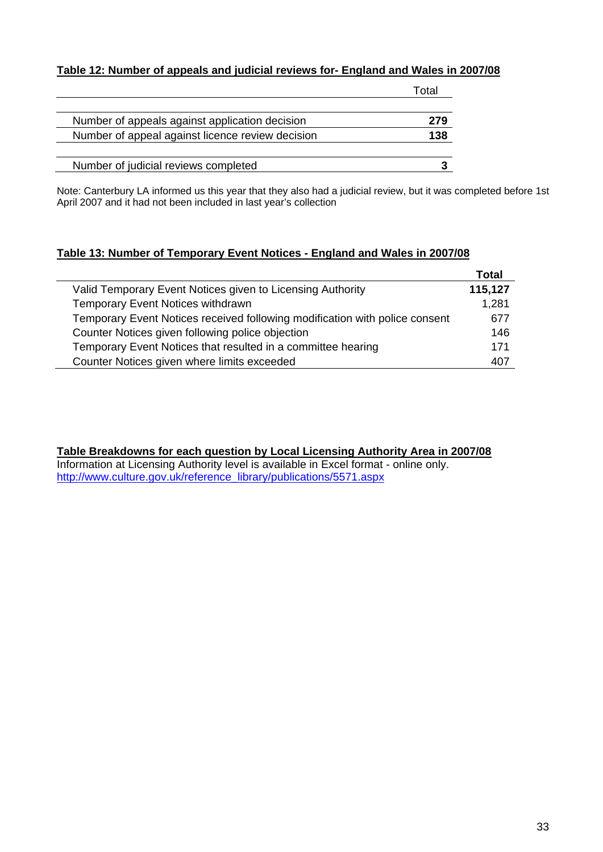### **Table 12: Number of appeals and judicial reviews for- England and Wales in 2007/08**

|                                                  | Г∩tal |
|--------------------------------------------------|-------|
| Number of appeals against application decision   | 279   |
| Number of appeal against licence review decision | 138   |
| Number of judicial reviews completed             |       |

Note: Canterbury LA informed us this year that they also had a judicial review, but it was completed before 1st April 2007 and it had not been included in last year's collection

### **Table 13: Number of Temporary Event Notices - England and Wales in 2007/08**

|                                                                             | Total   |
|-----------------------------------------------------------------------------|---------|
| Valid Temporary Event Notices given to Licensing Authority                  | 115,127 |
| <b>Temporary Event Notices withdrawn</b>                                    | 1,281   |
| Temporary Event Notices received following modification with police consent | 677     |
| Counter Notices given following police objection                            | 146     |
| Temporary Event Notices that resulted in a committee hearing                | 171     |
| Counter Notices given where limits exceeded                                 | 407     |

**Table Breakdowns for each question by Local Licensing Authority Area in 2007/08** Information at Licensing Authority level is available in Excel format - online only. [http://www.culture.gov.uk/reference\\_library/publications/5571.aspx](http://www.culture.gov.uk/reference_library/publications/5571.aspx)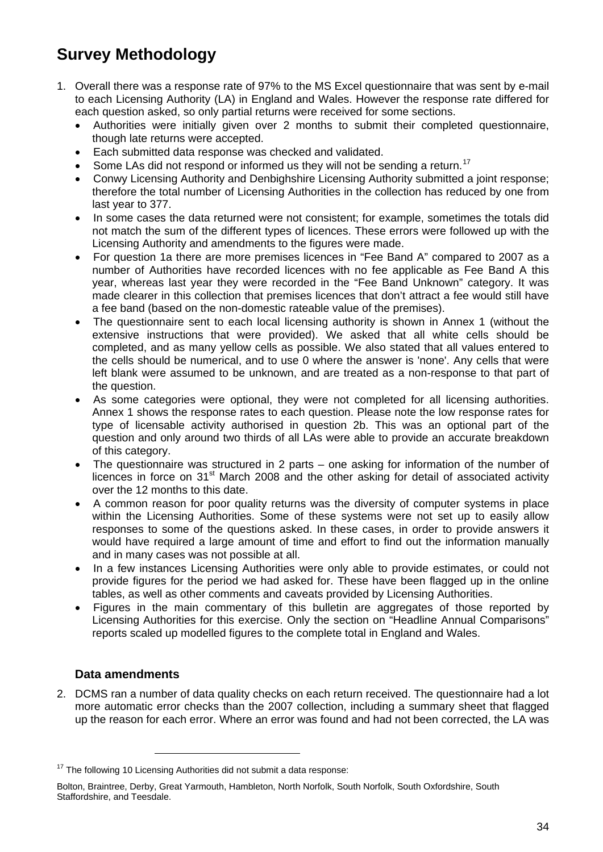## <span id="page-33-0"></span>**Survey Methodology**

- 1. Overall there was a response rate of 97% to the MS Excel questionnaire that was sent by e-mail to each Licensing Authority (LA) in England and Wales. However the response rate differed for each question asked, so only partial returns were received for some sections.
	- Authorities were initially given over 2 months to submit their completed questionnaire, though late returns were accepted.
	- Each submitted data response was checked and validated.
	- Some LAs did not respond or informed us they will not be sending a return.<sup>[17](#page-33-0)</sup>
	- Conwy Licensing Authority and Denbighshire Licensing Authority submitted a joint response; therefore the total number of Licensing Authorities in the collection has reduced by one from last year to 377.
	- In some cases the data returned were not consistent; for example, sometimes the totals did not match the sum of the different types of licences. These errors were followed up with the Licensing Authority and amendments to the figures were made.
	- For question 1a there are more premises licences in "Fee Band A" compared to 2007 as a number of Authorities have recorded licences with no fee applicable as Fee Band A this year, whereas last year they were recorded in the "Fee Band Unknown" category. It was made clearer in this collection that premises licences that don't attract a fee would still have a fee band (based on the non-domestic rateable value of the premises).
	- The questionnaire sent to each local licensing authority is shown in Annex 1 (without the extensive instructions that were provided). We asked that all white cells should be completed, and as many yellow cells as possible. We also stated that all values entered to the cells should be numerical, and to use 0 where the answer is 'none'. Any cells that were left blank were assumed to be unknown, and are treated as a non-response to that part of the question.
	- As some categories were optional, they were not completed for all licensing authorities. Annex 1 shows the response rates to each question. Please note the low response rates for type of licensable activity authorised in question 2b. This was an optional part of the question and only around two thirds of all LAs were able to provide an accurate breakdown of this category.
	- The questionnaire was structured in 2 parts one asking for information of the number of licences in force on 31<sup>st</sup> March 2008 and the other asking for detail of associated activity over the 12 months to this date.
	- A common reason for poor quality returns was the diversity of computer systems in place within the Licensing Authorities. Some of these systems were not set up to easily allow responses to some of the questions asked. In these cases, in order to provide answers it would have required a large amount of time and effort to find out the information manually and in many cases was not possible at all.
	- In a few instances Licensing Authorities were only able to provide estimates, or could not provide figures for the period we had asked for. These have been flagged up in the online tables, as well as other comments and caveats provided by Licensing Authorities.
	- Figures in the main commentary of this bulletin are aggregates of those reported by Licensing Authorities for this exercise. Only the section on "Headline Annual Comparisons" reports scaled up modelled figures to the complete total in England and Wales.

### **Data amendments**

1

2. DCMS ran a number of data quality checks on each return received. The questionnaire had a lot more automatic error checks than the 2007 collection, including a summary sheet that flagged up the reason for each error. Where an error was found and had not been corrected, the LA was

 $17$  The following 10 Licensing Authorities did not submit a data response:

Bolton, Braintree, Derby, Great Yarmouth, Hambleton, North Norfolk, South Norfolk, South Oxfordshire, South Staffordshire, and Teesdale.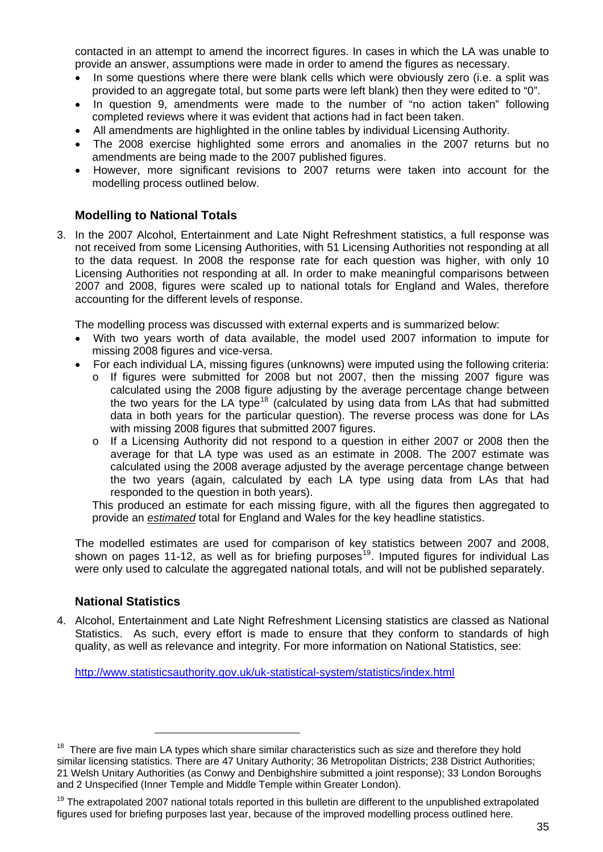<span id="page-34-0"></span>contacted in an attempt to amend the incorrect figures. In cases in which the LA was unable to provide an answer, assumptions were made in order to amend the figures as necessary.

- In some questions where there were blank cells which were obviously zero (i.e. a split was provided to an aggregate total, but some parts were left blank) then they were edited to "0".
- In question 9, amendments were made to the number of "no action taken" following completed reviews where it was evident that actions had in fact been taken.
- All amendments are highlighted in the online tables by individual Licensing Authority.
- The 2008 exercise highlighted some errors and anomalies in the 2007 returns but no amendments are being made to the 2007 published figures.
- However, more significant revisions to 2007 returns were taken into account for the modelling process outlined below.

### **Modelling to National Totals**

3. In the 2007 Alcohol, Entertainment and Late Night Refreshment statistics, a full response was not received from some Licensing Authorities, with 51 Licensing Authorities not responding at all to the data request. In 2008 the response rate for each question was higher, with only 10 Licensing Authorities not responding at all. In order to make meaningful comparisons between 2007 and 2008, figures were scaled up to national totals for England and Wales, therefore accounting for the different levels of response.

The modelling process was discussed with external experts and is summarized below:

- With two years worth of data available, the model used 2007 information to impute for missing 2008 figures and vice-versa.
- For each individual LA, missing figures (unknowns) were imputed using the following criteria:
	- o If figures were submitted for 2008 but not 2007, then the missing 2007 figure was calculated using the 2008 figure adjusting by the average percentage change between the two years for the LA type<sup>[18](#page-34-0)</sup> (calculated by using data from LAs that had submitted data in both years for the particular question). The reverse process was done for LAs with missing 2008 figures that submitted 2007 figures.
	- o If a Licensing Authority did not respond to a question in either 2007 or 2008 then the average for that LA type was used as an estimate in 2008. The 2007 estimate was calculated using the 2008 average adjusted by the average percentage change between the two years (again, calculated by each LA type using data from LAs that had responded to the question in both years).

This produced an estimate for each missing figure, with all the figures then aggregated to provide an *estimated* total for England and Wales for the key headline statistics.

The modelled estimates are used for comparison of key statistics between 2007 and 2008, shown on pages 11-12, as well as for briefing purposes<sup>[19](#page-34-0)</sup>. Imputed figures for individual Las were only used to calculate the aggregated national totals, and will not be published separately.

### **National Statistics**

-

4. Alcohol, Entertainment and Late Night Refreshment Licensing statistics are classed as National Statistics. As such, every effort is made to ensure that they conform to standards of high quality, as well as relevance and integrity. For more information on National Statistics, see:

<http://www.statisticsauthority.gov.uk/uk-statistical-system/statistics/index.html>

<sup>&</sup>lt;sup>18</sup> There are five main LA types which share similar characteristics such as size and therefore they hold similar licensing statistics. There are 47 Unitary Authority; 36 Metropolitan Districts; 238 District Authorities; 21 Welsh Unitary Authorities (as Conwy and Denbighshire submitted a joint response); 33 London Boroughs and 2 Unspecified (Inner Temple and Middle Temple within Greater London).

 $19$  The extrapolated 2007 national totals reported in this bulletin are different to the unpublished extrapolated figures used for briefing purposes last year, because of the improved modelling process outlined here.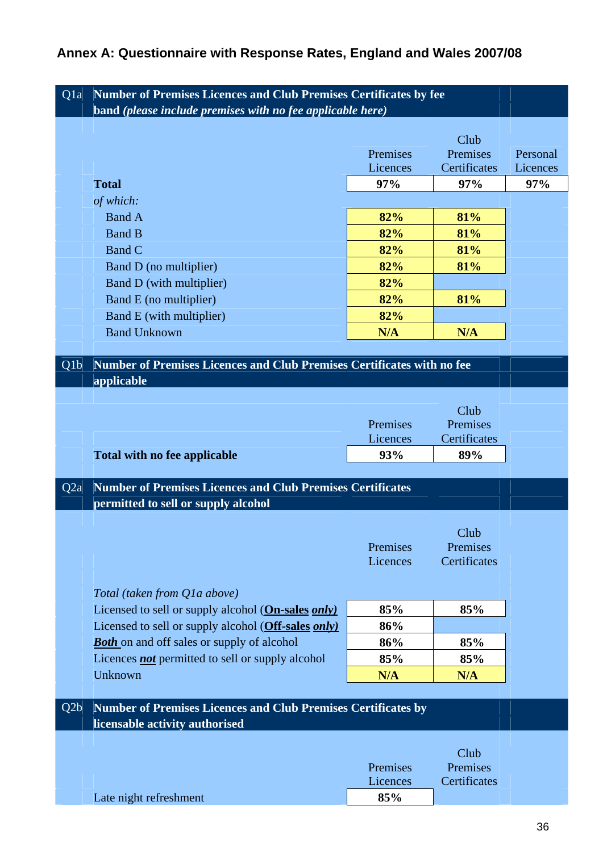## **Annex A: Questionnaire with Response Rates, England and Wales 2007/08**

| Q <sub>1</sub> a | <b>Number of Premises Licences and Club Premises Certificates by fee</b><br>band (please include premises with no fee applicable here) |          |                          |          |
|------------------|----------------------------------------------------------------------------------------------------------------------------------------|----------|--------------------------|----------|
|                  |                                                                                                                                        |          |                          |          |
|                  |                                                                                                                                        |          | Club                     |          |
|                  |                                                                                                                                        | Premises | Premises                 | Personal |
|                  |                                                                                                                                        | Licences | Certificates             | Licences |
|                  | <b>Total</b>                                                                                                                           | 97%      | 97%                      | 97%      |
|                  | of which:                                                                                                                              |          |                          |          |
|                  | <b>Band A</b>                                                                                                                          | 82%      | 81%                      |          |
|                  | <b>Band B</b>                                                                                                                          | 82%      | 81%                      |          |
|                  | Band C                                                                                                                                 | 82%      | 81%                      |          |
|                  | Band D (no multiplier)                                                                                                                 | 82%      | 81%                      |          |
|                  | Band D (with multiplier)                                                                                                               | 82%      |                          |          |
|                  | Band E (no multiplier)                                                                                                                 | 82%      | 81%                      |          |
|                  | Band E (with multiplier)                                                                                                               | 82%      |                          |          |
|                  | <b>Band Unknown</b>                                                                                                                    | N/A      | N/A                      |          |
|                  |                                                                                                                                        |          |                          |          |
| Q <sub>1</sub> b | Number of Premises Licences and Club Premises Certificates with no fee                                                                 |          |                          |          |
|                  | applicable                                                                                                                             |          |                          |          |
|                  |                                                                                                                                        |          | Club                     |          |
|                  |                                                                                                                                        | Premises | Premises                 |          |
|                  |                                                                                                                                        | Licences | Certificates             |          |
|                  | <b>Total with no fee applicable</b>                                                                                                    | 93%      | 89%                      |          |
|                  |                                                                                                                                        |          |                          |          |
| Q <sub>2</sub> a | <b>Number of Premises Licences and Club Premises Certificates</b>                                                                      |          |                          |          |
|                  | permitted to sell or supply alcohol                                                                                                    |          |                          |          |
|                  |                                                                                                                                        |          |                          |          |
|                  |                                                                                                                                        | Premises | Club                     |          |
|                  |                                                                                                                                        | Licences | Premises<br>Certificates |          |
|                  |                                                                                                                                        |          |                          |          |
|                  | Total (taken from Q1a above)                                                                                                           |          |                          |          |
|                  | Licensed to sell or supply alcohol (On-sales only)                                                                                     | 85%      | 85%                      |          |
|                  | Licensed to sell or supply alcohol (Off-sales only)                                                                                    | 86%      |                          |          |
|                  | <b>Both</b> on and off sales or supply of alcohol                                                                                      | 86%      | 85%                      |          |
|                  | Licences <b>not</b> permitted to sell or supply alcohol                                                                                | 85%      | 85%                      |          |
|                  | Unknown                                                                                                                                | N/A      | N/A                      |          |
|                  |                                                                                                                                        |          |                          |          |
| Q2b              | <b>Number of Premises Licences and Club Premises Certificates by</b>                                                                   |          |                          |          |
|                  | licensable activity authorised                                                                                                         |          |                          |          |
|                  |                                                                                                                                        |          |                          |          |
|                  |                                                                                                                                        |          | Club                     |          |
|                  |                                                                                                                                        | Premises | Premises                 |          |
|                  |                                                                                                                                        | Licences | Certificates             |          |
|                  | Late night refreshment                                                                                                                 | 85%      |                          |          |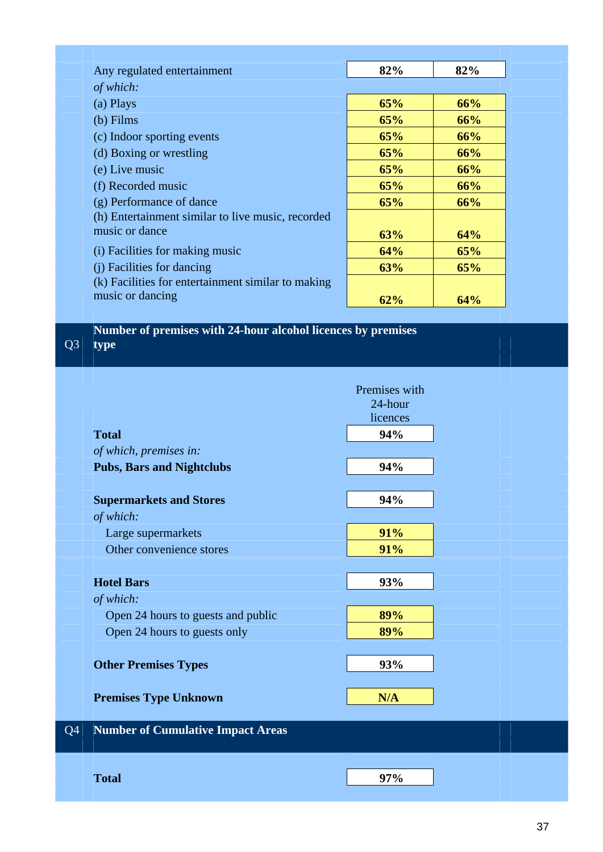| Any regulated entertainment                        | 82% | 82% |
|----------------------------------------------------|-----|-----|
| of which:                                          |     |     |
| (a) Plays                                          | 65% | 66% |
| $(b)$ Films                                        | 65% | 66% |
| (c) Indoor sporting events                         | 65% | 66% |
| (d) Boxing or wrestling                            | 65% | 66% |
| (e) Live music                                     | 65% | 66% |
| (f) Recorded music                                 | 65% | 66% |
| (g) Performance of dance                           | 65% | 66% |
| (h) Entertainment similar to live music, recorded  |     |     |
| music or dance                                     | 63% | 64% |
| (i) Facilities for making music                    | 64% | 65% |
| (i) Facilities for dancing                         | 63% | 65% |
| (k) Facilities for entertainment similar to making |     |     |
| music or dancing                                   | 62% | 64% |

Q3 **Number of premises with 24-hour alcohol licences by premises type** 

|                |                                          | Premises with |  |
|----------------|------------------------------------------|---------------|--|
|                |                                          | 24-hour       |  |
|                |                                          | licences      |  |
|                | <b>Total</b>                             | 94%           |  |
|                | of which, premises in:                   |               |  |
|                | <b>Pubs, Bars and Nightclubs</b>         | 94%           |  |
|                |                                          |               |  |
|                | <b>Supermarkets and Stores</b>           | 94%           |  |
|                | of which:                                |               |  |
|                | Large supermarkets                       | 91%           |  |
|                | Other convenience stores                 | 91%           |  |
|                |                                          |               |  |
|                | <b>Hotel Bars</b>                        | 93%           |  |
|                | of which:                                |               |  |
|                | Open 24 hours to guests and public       | 89%           |  |
|                | Open 24 hours to guests only             | 89%           |  |
|                |                                          |               |  |
|                | <b>Other Premises Types</b>              | 93%           |  |
|                |                                          |               |  |
|                | <b>Premises Type Unknown</b>             | N/A           |  |
|                |                                          |               |  |
| Q <sub>4</sub> | <b>Number of Cumulative Impact Areas</b> |               |  |
|                |                                          |               |  |
|                |                                          |               |  |
|                | <b>Total</b>                             | 97%           |  |
|                |                                          |               |  |
|                |                                          |               |  |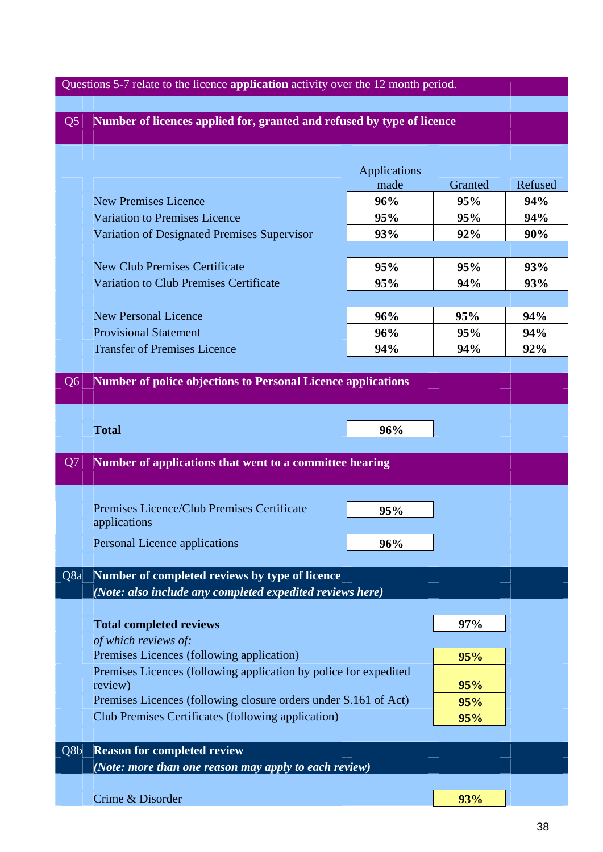# Questions 5-7 relate to the licence **application** activity over the 12 month period. Q5 **Number of licences applied for, granted and refused by type of licence**  Applications made Granted Refused New Premises Licence **96% 95% 94%**  Variation to Premises Licence **95%** 95% 95% 94% Variation of Designated Premises Supervisor **93%** 92% 92% 90% New Club Premises Certificate **95% 95% 93%**  Variation to Club Premises Certificate **95%** 94% 94% 93% New Personal Licence **96% 95% 94%**  Provisional Statement **96% 95% 94%**  Transfer of Premises Licence **94%** 94% 94% 92% Q6 **Number of police objections to Personal Licence applications Total 96%** Q7 **Number of applications that went to a committee hearing**  Premises Licence/Club Premises Certificate 195% applications Personal Licence applications **96% 96%** Q8a **Number of completed reviews by type of licence** *(Note: also include any completed expedited reviews here)*  **Total completed reviews 197% 197%**  *of which reviews of:*  Premises Licences (following application) **95% 95%** Premises Licences (following application by police for expedited review) **95%**  Premises Licences (following closure orders under S.161 of Act) 95% Club Premises Certificates (following application) **95%**  Q8b **Reason for completed review**  *(Note: more than one reason may apply to each review)*  Crime & Disorder **93% 93%**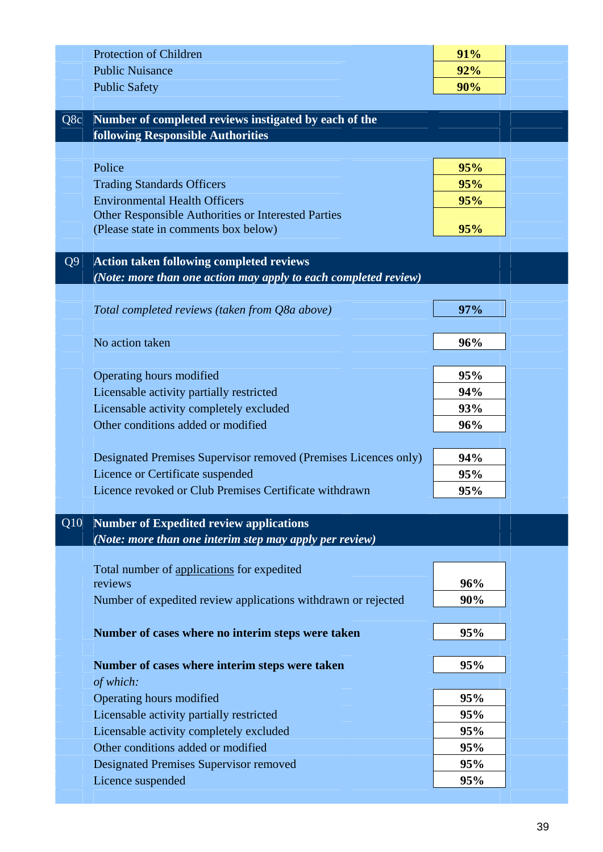|                | <b>Protection of Children</b>                                   | 91%        |  |
|----------------|-----------------------------------------------------------------|------------|--|
|                | <b>Public Nuisance</b>                                          | 92%        |  |
|                | <b>Public Safety</b>                                            | 90%        |  |
|                |                                                                 |            |  |
| Q8c            | Number of completed reviews instigated by each of the           |            |  |
|                | <b>following Responsible Authorities</b>                        |            |  |
|                | Police                                                          |            |  |
|                | <b>Trading Standards Officers</b>                               | 95%<br>95% |  |
|                | <b>Environmental Health Officers</b>                            | 95%        |  |
|                | Other Responsible Authorities or Interested Parties             |            |  |
|                | (Please state in comments box below)                            | 95%        |  |
|                |                                                                 |            |  |
| Q <sub>9</sub> | <b>Action taken following completed reviews</b>                 |            |  |
|                | (Note: more than one action may apply to each completed review) |            |  |
|                |                                                                 |            |  |
|                | Total completed reviews (taken from Q8a above)                  | 97%        |  |
|                |                                                                 |            |  |
|                | No action taken                                                 | 96%        |  |
|                | Operating hours modified                                        | 95%        |  |
|                | Licensable activity partially restricted                        | 94%        |  |
|                | Licensable activity completely excluded                         | 93%        |  |
|                | Other conditions added or modified                              | 96%        |  |
|                |                                                                 |            |  |
|                | Designated Premises Supervisor removed (Premises Licences only) | 94%        |  |
|                | Licence or Certificate suspended                                | 95%        |  |
|                | Licence revoked or Club Premises Certificate withdrawn          | 95%        |  |
|                |                                                                 |            |  |
| Q10            | <b>Number of Expedited review applications</b>                  |            |  |
|                | (Note: more than one interim step may apply per review)         |            |  |
|                |                                                                 |            |  |
|                | Total number of applications for expedited<br>reviews           | 96%        |  |
|                | Number of expedited review applications withdrawn or rejected   | 90%        |  |
|                |                                                                 |            |  |
|                | Number of cases where no interim steps were taken               | 95%        |  |
|                |                                                                 |            |  |
|                | Number of cases where interim steps were taken                  | 95%        |  |
|                | of which:                                                       |            |  |
|                | Operating hours modified                                        | 95%        |  |
|                | Licensable activity partially restricted                        | 95%        |  |
|                | Licensable activity completely excluded                         | 95%        |  |
|                | Other conditions added or modified                              | 95%        |  |
|                | <b>Designated Premises Supervisor removed</b>                   | 95%        |  |
|                | Licence suspended                                               | 95%        |  |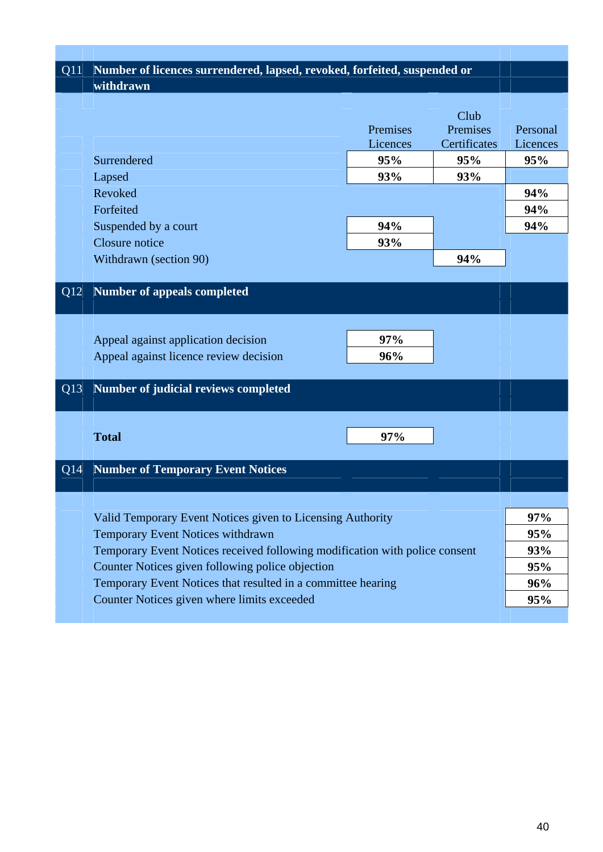| Q11 | Number of licences surrendered, lapsed, revoked, forfeited, suspended or    |          |              |            |
|-----|-----------------------------------------------------------------------------|----------|--------------|------------|
|     | withdrawn                                                                   |          |              |            |
|     |                                                                             |          |              |            |
|     |                                                                             |          | Club         |            |
|     |                                                                             | Premises | Premises     | Personal   |
|     |                                                                             | Licences | Certificates | Licences   |
|     | Surrendered                                                                 | 95%      | 95%          | 95%        |
|     | Lapsed                                                                      | 93%      | <b>93%</b>   |            |
|     | Revoked                                                                     |          |              | 94%        |
|     | Forfeited                                                                   |          |              | 94%        |
|     | Suspended by a court                                                        | 94%      |              | 94%        |
|     | Closure notice                                                              | 93%      |              |            |
|     | Withdrawn (section 90)                                                      |          | 94%          |            |
|     |                                                                             |          |              |            |
| Q12 | <b>Number of appeals completed</b>                                          |          |              |            |
|     |                                                                             |          |              |            |
|     |                                                                             |          |              |            |
|     | Appeal against application decision                                         | 97%      |              |            |
|     | Appeal against licence review decision                                      | 96%      |              |            |
|     |                                                                             |          |              |            |
| Q13 | <b>Number of judicial reviews completed</b>                                 |          |              |            |
|     |                                                                             |          |              |            |
|     |                                                                             |          |              |            |
|     | <b>Total</b>                                                                | 97%      |              |            |
|     |                                                                             |          |              |            |
| Q14 | <b>Number of Temporary Event Notices</b>                                    |          |              |            |
|     |                                                                             |          |              |            |
|     |                                                                             |          |              |            |
|     | Valid Temporary Event Notices given to Licensing Authority                  |          |              | 97%        |
|     | Temporary Event Notices withdrawn                                           |          |              | 95%        |
|     | Temporary Event Notices received following modification with police consent |          |              | <b>93%</b> |
|     | Counter Notices given following police objection                            |          |              |            |
|     | Temporary Event Notices that resulted in a committee hearing                |          |              | 95%<br>96% |
|     | Counter Notices given where limits exceeded                                 |          |              | <b>95%</b> |
|     |                                                                             |          |              |            |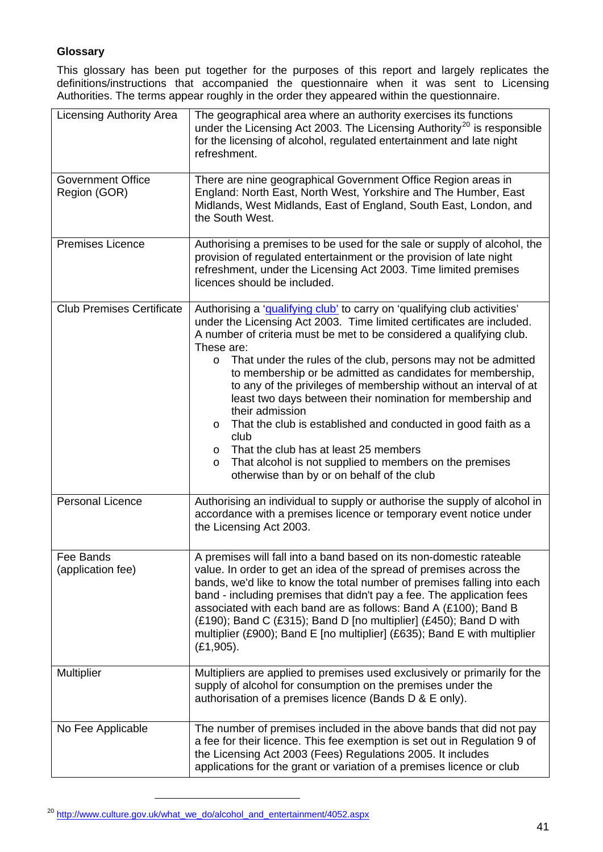### <span id="page-40-0"></span>**Glossary**

This glossary has been put together for the purposes of this report and largely replicates the definitions/instructions that accompanied the questionnaire when it was sent to Licensing Authorities. The terms appear roughly in the order they appeared within the questionnaire.

| <b>Licensing Authority Area</b>          | The geographical area where an authority exercises its functions<br>under the Licensing Act 2003. The Licensing Authority <sup>20</sup> is responsible<br>for the licensing of alcohol, regulated entertainment and late night<br>refreshment.                                                                                                                                                                                                                                                                                                                                                                                                                                                                                                                                               |
|------------------------------------------|----------------------------------------------------------------------------------------------------------------------------------------------------------------------------------------------------------------------------------------------------------------------------------------------------------------------------------------------------------------------------------------------------------------------------------------------------------------------------------------------------------------------------------------------------------------------------------------------------------------------------------------------------------------------------------------------------------------------------------------------------------------------------------------------|
| <b>Government Office</b><br>Region (GOR) | There are nine geographical Government Office Region areas in<br>England: North East, North West, Yorkshire and The Humber, East<br>Midlands, West Midlands, East of England, South East, London, and<br>the South West.                                                                                                                                                                                                                                                                                                                                                                                                                                                                                                                                                                     |
| <b>Premises Licence</b>                  | Authorising a premises to be used for the sale or supply of alcohol, the<br>provision of regulated entertainment or the provision of late night<br>refreshment, under the Licensing Act 2003. Time limited premises<br>licences should be included.                                                                                                                                                                                                                                                                                                                                                                                                                                                                                                                                          |
| <b>Club Premises Certificate</b>         | Authorising a 'qualifying club' to carry on 'qualifying club activities'<br>under the Licensing Act 2003. Time limited certificates are included.<br>A number of criteria must be met to be considered a qualifying club.<br>These are:<br>That under the rules of the club, persons may not be admitted<br>$\circ$<br>to membership or be admitted as candidates for membership,<br>to any of the privileges of membership without an interval of at<br>least two days between their nomination for membership and<br>their admission<br>That the club is established and conducted in good faith as a<br>$\circ$<br>club<br>That the club has at least 25 members<br>$\circ$<br>That alcohol is not supplied to members on the premises<br>O<br>otherwise than by or on behalf of the club |
| <b>Personal Licence</b>                  | Authorising an individual to supply or authorise the supply of alcohol in<br>accordance with a premises licence or temporary event notice under<br>the Licensing Act 2003.                                                                                                                                                                                                                                                                                                                                                                                                                                                                                                                                                                                                                   |
| Fee Bands<br>(application fee)           | A premises will fall into a band based on its non-domestic rateable<br>value. In order to get an idea of the spread of premises across the<br>bands, we'd like to know the total number of premises falling into each<br>band - including premises that didn't pay a fee. The application fees<br>associated with each band are as follows: Band A (£100); Band B<br>$(E190)$ ; Band C $(E315)$ ; Band D [no multiplier] $(E450)$ ; Band D with<br>multiplier (£900); Band E [no multiplier] (£635); Band E with multiplier<br>$(E1, 905)$ .                                                                                                                                                                                                                                                 |
| Multiplier                               | Multipliers are applied to premises used exclusively or primarily for the<br>supply of alcohol for consumption on the premises under the<br>authorisation of a premises licence (Bands D & E only).                                                                                                                                                                                                                                                                                                                                                                                                                                                                                                                                                                                          |
| No Fee Applicable                        | The number of premises included in the above bands that did not pay<br>a fee for their licence. This fee exemption is set out in Regulation 9 of<br>the Licensing Act 2003 (Fees) Regulations 2005. It includes<br>applications for the grant or variation of a premises licence or club                                                                                                                                                                                                                                                                                                                                                                                                                                                                                                     |

<sup>&</sup>lt;sup>20</sup> [http://www.culture.gov.uk/what\\_we\\_do/alcohol\\_and\\_entertainment/4052.aspx](http://www.culture.gov.uk/what_we_do/alcohol_and_entertainment/4052.aspx)

1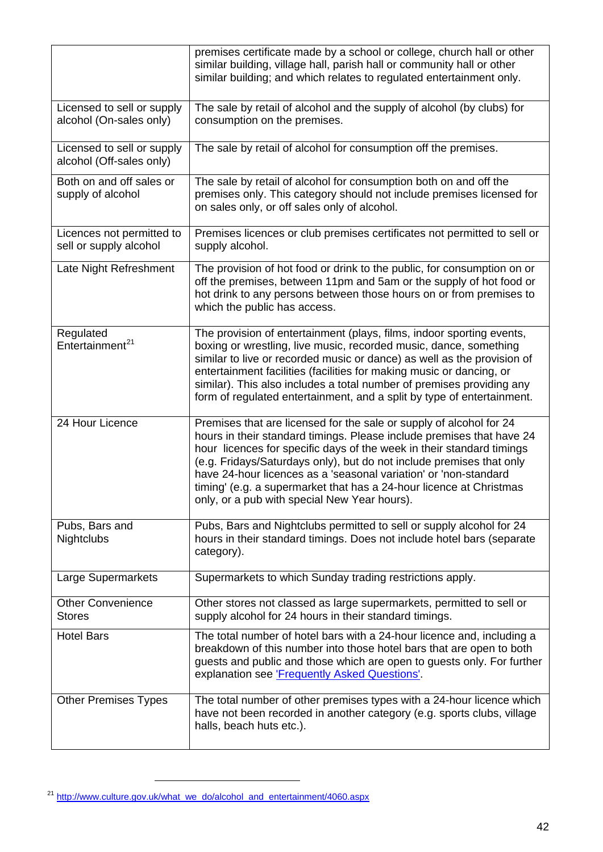<span id="page-41-0"></span>

|                                                        | premises certificate made by a school or college, church hall or other<br>similar building, village hall, parish hall or community hall or other<br>similar building; and which relates to regulated entertainment only.                                                                                                                                                                                                                                                                 |
|--------------------------------------------------------|------------------------------------------------------------------------------------------------------------------------------------------------------------------------------------------------------------------------------------------------------------------------------------------------------------------------------------------------------------------------------------------------------------------------------------------------------------------------------------------|
| Licensed to sell or supply<br>alcohol (On-sales only)  | The sale by retail of alcohol and the supply of alcohol (by clubs) for<br>consumption on the premises.                                                                                                                                                                                                                                                                                                                                                                                   |
| Licensed to sell or supply<br>alcohol (Off-sales only) | The sale by retail of alcohol for consumption off the premises.                                                                                                                                                                                                                                                                                                                                                                                                                          |
| Both on and off sales or<br>supply of alcohol          | The sale by retail of alcohol for consumption both on and off the<br>premises only. This category should not include premises licensed for<br>on sales only, or off sales only of alcohol.                                                                                                                                                                                                                                                                                               |
| Licences not permitted to<br>sell or supply alcohol    | Premises licences or club premises certificates not permitted to sell or<br>supply alcohol.                                                                                                                                                                                                                                                                                                                                                                                              |
| Late Night Refreshment                                 | The provision of hot food or drink to the public, for consumption on or<br>off the premises, between 11pm and 5am or the supply of hot food or<br>hot drink to any persons between those hours on or from premises to<br>which the public has access.                                                                                                                                                                                                                                    |
| Regulated<br>Entertainment <sup>21</sup>               | The provision of entertainment (plays, films, indoor sporting events,<br>boxing or wrestling, live music, recorded music, dance, something<br>similar to live or recorded music or dance) as well as the provision of<br>entertainment facilities (facilities for making music or dancing, or<br>similar). This also includes a total number of premises providing any<br>form of regulated entertainment, and a split by type of entertainment.                                         |
| 24 Hour Licence                                        | Premises that are licensed for the sale or supply of alcohol for 24<br>hours in their standard timings. Please include premises that have 24<br>hour licences for specific days of the week in their standard timings<br>(e.g. Fridays/Saturdays only), but do not include premises that only<br>have 24-hour licences as a 'seasonal variation' or 'non-standard<br>timing' (e.g. a supermarket that has a 24-hour licence at Christmas<br>only, or a pub with special New Year hours). |
| Pubs, Bars and<br><b>Nightclubs</b>                    | Pubs, Bars and Nightclubs permitted to sell or supply alcohol for 24<br>hours in their standard timings. Does not include hotel bars (separate<br>category).                                                                                                                                                                                                                                                                                                                             |
| Large Supermarkets                                     | Supermarkets to which Sunday trading restrictions apply.                                                                                                                                                                                                                                                                                                                                                                                                                                 |
| <b>Other Convenience</b><br><b>Stores</b>              | Other stores not classed as large supermarkets, permitted to sell or<br>supply alcohol for 24 hours in their standard timings.                                                                                                                                                                                                                                                                                                                                                           |
| <b>Hotel Bars</b>                                      | The total number of hotel bars with a 24-hour licence and, including a<br>breakdown of this number into those hotel bars that are open to both<br>guests and public and those which are open to guests only. For further<br>explanation see <b>Frequently Asked Questions'</b> .                                                                                                                                                                                                         |
| <b>Other Premises Types</b>                            | The total number of other premises types with a 24-hour licence which<br>have not been recorded in another category (e.g. sports clubs, village<br>halls, beach huts etc.).                                                                                                                                                                                                                                                                                                              |

<sup>&</sup>lt;sup>21</sup> http://www.culture.gov.uk/what\_we\_do/alcohol\_and\_entertainment/4060.aspx

 $\sim$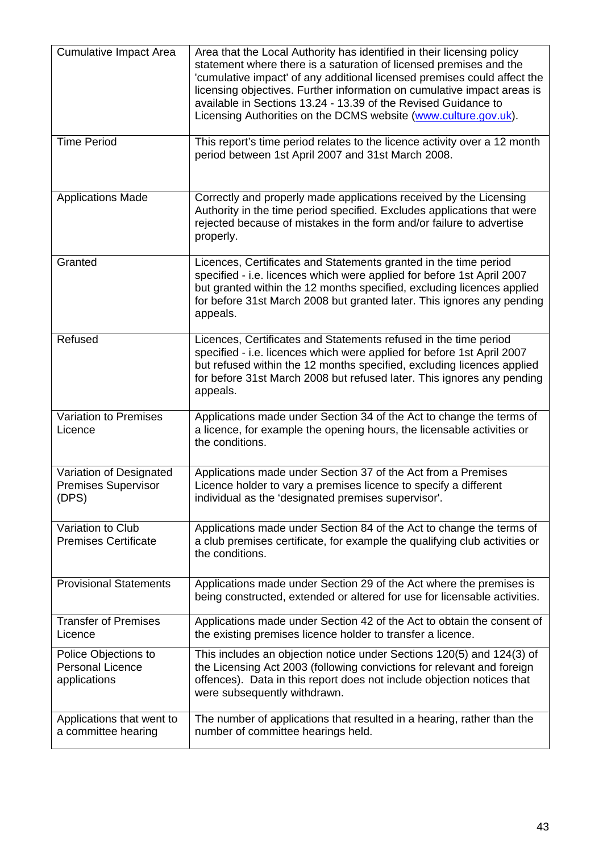| <b>Cumulative Impact Area</b>                                   | Area that the Local Authority has identified in their licensing policy<br>statement where there is a saturation of licensed premises and the<br>'cumulative impact' of any additional licensed premises could affect the<br>licensing objectives. Further information on cumulative impact areas is<br>available in Sections 13.24 - 13.39 of the Revised Guidance to<br>Licensing Authorities on the DCMS website (www.culture.gov.uk). |
|-----------------------------------------------------------------|------------------------------------------------------------------------------------------------------------------------------------------------------------------------------------------------------------------------------------------------------------------------------------------------------------------------------------------------------------------------------------------------------------------------------------------|
| <b>Time Period</b>                                              | This report's time period relates to the licence activity over a 12 month<br>period between 1st April 2007 and 31st March 2008.                                                                                                                                                                                                                                                                                                          |
| <b>Applications Made</b>                                        | Correctly and properly made applications received by the Licensing<br>Authority in the time period specified. Excludes applications that were<br>rejected because of mistakes in the form and/or failure to advertise<br>properly.                                                                                                                                                                                                       |
| Granted                                                         | Licences, Certificates and Statements granted in the time period<br>specified - i.e. licences which were applied for before 1st April 2007<br>but granted within the 12 months specified, excluding licences applied<br>for before 31st March 2008 but granted later. This ignores any pending<br>appeals.                                                                                                                               |
| Refused                                                         | Licences, Certificates and Statements refused in the time period<br>specified - i.e. licences which were applied for before 1st April 2007<br>but refused within the 12 months specified, excluding licences applied<br>for before 31st March 2008 but refused later. This ignores any pending<br>appeals.                                                                                                                               |
| Variation to Premises<br>Licence                                | Applications made under Section 34 of the Act to change the terms of<br>a licence, for example the opening hours, the licensable activities or<br>the conditions.                                                                                                                                                                                                                                                                        |
| Variation of Designated<br><b>Premises Supervisor</b><br>(DPS)  | Applications made under Section 37 of the Act from a Premises<br>Licence holder to vary a premises licence to specify a different<br>individual as the 'designated premises supervisor'.                                                                                                                                                                                                                                                 |
| Variation to Club<br><b>Premises Certificate</b>                | Applications made under Section 84 of the Act to change the terms of<br>a club premises certificate, for example the qualifying club activities or<br>the conditions.                                                                                                                                                                                                                                                                    |
| <b>Provisional Statements</b>                                   | Applications made under Section 29 of the Act where the premises is<br>being constructed, extended or altered for use for licensable activities.                                                                                                                                                                                                                                                                                         |
| <b>Transfer of Premises</b><br>Licence                          | Applications made under Section 42 of the Act to obtain the consent of<br>the existing premises licence holder to transfer a licence.                                                                                                                                                                                                                                                                                                    |
| Police Objections to<br><b>Personal Licence</b><br>applications | This includes an objection notice under Sections 120(5) and 124(3) of<br>the Licensing Act 2003 (following convictions for relevant and foreign<br>offences). Data in this report does not include objection notices that<br>were subsequently withdrawn.                                                                                                                                                                                |
| Applications that went to<br>a committee hearing                | The number of applications that resulted in a hearing, rather than the<br>number of committee hearings held.                                                                                                                                                                                                                                                                                                                             |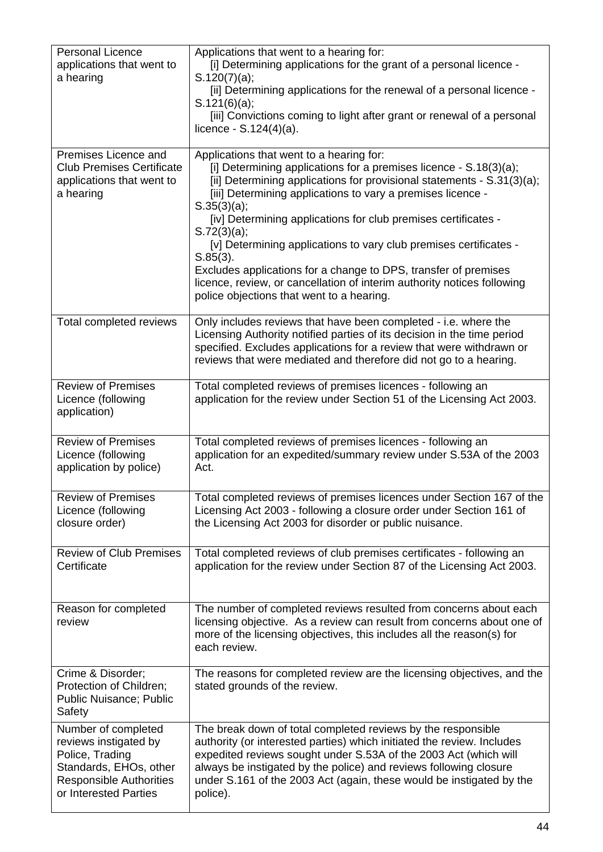| <b>Personal Licence</b><br>applications that went to<br>a hearing                                                                                    | Applications that went to a hearing for:<br>[i] Determining applications for the grant of a personal licence -<br>S.120(7)(a);<br>[ii] Determining applications for the renewal of a personal licence -<br>S.121(6)(a);<br>[iii] Convictions coming to light after grant or renewal of a personal<br>licence - $S.124(4)(a)$ .                                                                                                                                                                                                                                                                                                        |
|------------------------------------------------------------------------------------------------------------------------------------------------------|---------------------------------------------------------------------------------------------------------------------------------------------------------------------------------------------------------------------------------------------------------------------------------------------------------------------------------------------------------------------------------------------------------------------------------------------------------------------------------------------------------------------------------------------------------------------------------------------------------------------------------------|
| Premises Licence and<br><b>Club Premises Certificate</b><br>applications that went to<br>a hearing                                                   | Applications that went to a hearing for:<br>[i] Determining applications for a premises licence - S.18(3)(a);<br>[ii] Determining applications for provisional statements - S.31(3)(a);<br>[iii] Determining applications to vary a premises licence -<br>S.35(3)(a);<br>[iv] Determining applications for club premises certificates -<br>S.72(3)(a);<br>[v] Determining applications to vary club premises certificates -<br>$S.85(3)$ .<br>Excludes applications for a change to DPS, transfer of premises<br>licence, review, or cancellation of interim authority notices following<br>police objections that went to a hearing. |
| Total completed reviews                                                                                                                              | Only includes reviews that have been completed - i.e. where the<br>Licensing Authority notified parties of its decision in the time period<br>specified. Excludes applications for a review that were withdrawn or<br>reviews that were mediated and therefore did not go to a hearing.                                                                                                                                                                                                                                                                                                                                               |
| <b>Review of Premises</b><br>Licence (following<br>application)                                                                                      | Total completed reviews of premises licences - following an<br>application for the review under Section 51 of the Licensing Act 2003.                                                                                                                                                                                                                                                                                                                                                                                                                                                                                                 |
| <b>Review of Premises</b><br>Licence (following<br>application by police)                                                                            | Total completed reviews of premises licences - following an<br>application for an expedited/summary review under S.53A of the 2003<br>Act.                                                                                                                                                                                                                                                                                                                                                                                                                                                                                            |
| <b>Review of Premises</b><br>Licence (following<br>closure order)                                                                                    | Total completed reviews of premises licences under Section 167 of the<br>Licensing Act 2003 - following a closure order under Section 161 of<br>the Licensing Act 2003 for disorder or public nuisance.                                                                                                                                                                                                                                                                                                                                                                                                                               |
| <b>Review of Club Premises</b><br>Certificate                                                                                                        | Total completed reviews of club premises certificates - following an<br>application for the review under Section 87 of the Licensing Act 2003.                                                                                                                                                                                                                                                                                                                                                                                                                                                                                        |
| Reason for completed<br>review                                                                                                                       | The number of completed reviews resulted from concerns about each<br>licensing objective. As a review can result from concerns about one of<br>more of the licensing objectives, this includes all the reason(s) for<br>each review.                                                                                                                                                                                                                                                                                                                                                                                                  |
| Crime & Disorder;<br>Protection of Children;<br>Public Nuisance; Public<br>Safety                                                                    | The reasons for completed review are the licensing objectives, and the<br>stated grounds of the review.                                                                                                                                                                                                                                                                                                                                                                                                                                                                                                                               |
| Number of completed<br>reviews instigated by<br>Police, Trading<br>Standards, EHOs, other<br><b>Responsible Authorities</b><br>or Interested Parties | The break down of total completed reviews by the responsible<br>authority (or interested parties) which initiated the review. Includes<br>expedited reviews sought under S.53A of the 2003 Act (which will<br>always be instigated by the police) and reviews following closure<br>under S.161 of the 2003 Act (again, these would be instigated by the<br>police).                                                                                                                                                                                                                                                                   |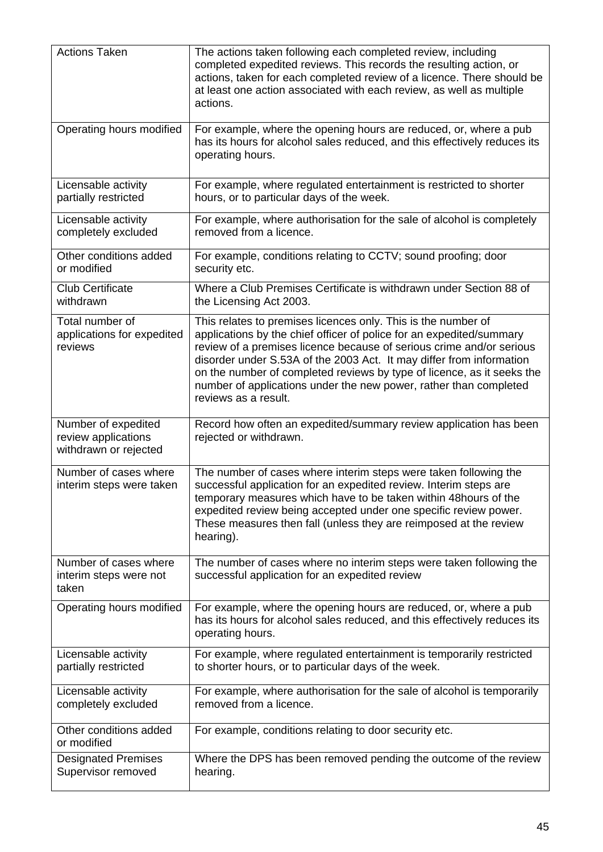| <b>Actions Taken</b>                                                | The actions taken following each completed review, including<br>completed expedited reviews. This records the resulting action, or<br>actions, taken for each completed review of a licence. There should be<br>at least one action associated with each review, as well as multiple<br>actions.                                                                                                                                                             |
|---------------------------------------------------------------------|--------------------------------------------------------------------------------------------------------------------------------------------------------------------------------------------------------------------------------------------------------------------------------------------------------------------------------------------------------------------------------------------------------------------------------------------------------------|
| Operating hours modified                                            | For example, where the opening hours are reduced, or, where a pub<br>has its hours for alcohol sales reduced, and this effectively reduces its<br>operating hours.                                                                                                                                                                                                                                                                                           |
| Licensable activity<br>partially restricted                         | For example, where regulated entertainment is restricted to shorter<br>hours, or to particular days of the week.                                                                                                                                                                                                                                                                                                                                             |
| Licensable activity<br>completely excluded                          | For example, where authorisation for the sale of alcohol is completely<br>removed from a licence.                                                                                                                                                                                                                                                                                                                                                            |
| Other conditions added<br>or modified                               | For example, conditions relating to CCTV; sound proofing; door<br>security etc.                                                                                                                                                                                                                                                                                                                                                                              |
| <b>Club Certificate</b><br>withdrawn                                | Where a Club Premises Certificate is withdrawn under Section 88 of<br>the Licensing Act 2003.                                                                                                                                                                                                                                                                                                                                                                |
| Total number of<br>applications for expedited<br>reviews            | This relates to premises licences only. This is the number of<br>applications by the chief officer of police for an expedited/summary<br>review of a premises licence because of serious crime and/or serious<br>disorder under S.53A of the 2003 Act. It may differ from information<br>on the number of completed reviews by type of licence, as it seeks the<br>number of applications under the new power, rather than completed<br>reviews as a result. |
| Number of expedited<br>review applications<br>withdrawn or rejected | Record how often an expedited/summary review application has been<br>rejected or withdrawn.                                                                                                                                                                                                                                                                                                                                                                  |
|                                                                     |                                                                                                                                                                                                                                                                                                                                                                                                                                                              |
| Number of cases where<br>interim steps were taken                   | The number of cases where interim steps were taken following the<br>successful application for an expedited review. Interim steps are<br>temporary measures which have to be taken within 48hours of the<br>expedited review being accepted under one specific review power.<br>These measures then fall (unless they are reimposed at the review<br>hearing).                                                                                               |
| Number of cases where<br>interim steps were not<br>taken            | The number of cases where no interim steps were taken following the<br>successful application for an expedited review                                                                                                                                                                                                                                                                                                                                        |
| Operating hours modified                                            | For example, where the opening hours are reduced, or, where a pub<br>has its hours for alcohol sales reduced, and this effectively reduces its<br>operating hours.                                                                                                                                                                                                                                                                                           |
| Licensable activity<br>partially restricted                         | For example, where regulated entertainment is temporarily restricted<br>to shorter hours, or to particular days of the week.                                                                                                                                                                                                                                                                                                                                 |
| Licensable activity<br>completely excluded                          | For example, where authorisation for the sale of alcohol is temporarily<br>removed from a licence.                                                                                                                                                                                                                                                                                                                                                           |
| Other conditions added<br>or modified                               | For example, conditions relating to door security etc.                                                                                                                                                                                                                                                                                                                                                                                                       |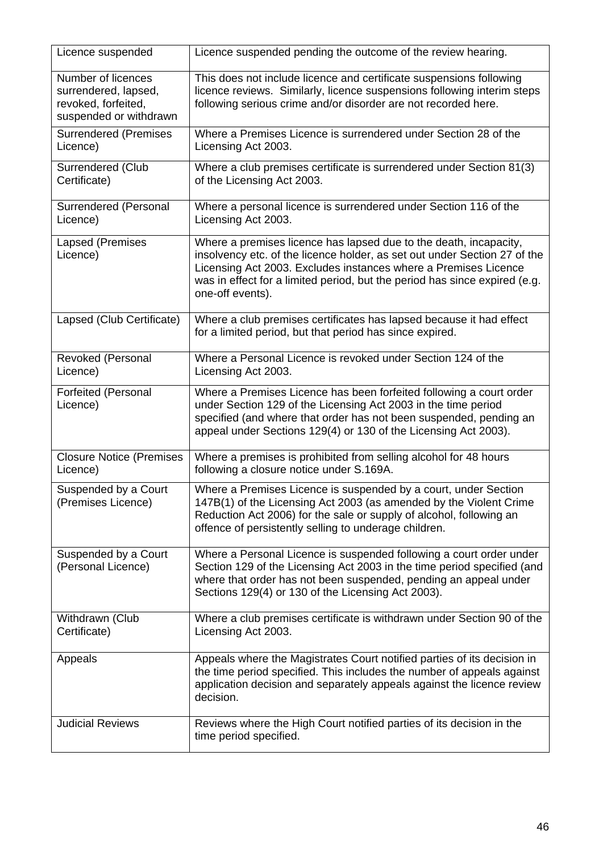| Licence suspended                                                                           | Licence suspended pending the outcome of the review hearing.                                                                                                                                                                                                                                                        |
|---------------------------------------------------------------------------------------------|---------------------------------------------------------------------------------------------------------------------------------------------------------------------------------------------------------------------------------------------------------------------------------------------------------------------|
| Number of licences<br>surrendered, lapsed,<br>revoked, forfeited,<br>suspended or withdrawn | This does not include licence and certificate suspensions following<br>licence reviews. Similarly, licence suspensions following interim steps<br>following serious crime and/or disorder are not recorded here.                                                                                                    |
| <b>Surrendered (Premises</b><br>Licence)                                                    | Where a Premises Licence is surrendered under Section 28 of the<br>Licensing Act 2003.                                                                                                                                                                                                                              |
| Surrendered (Club<br>Certificate)                                                           | Where a club premises certificate is surrendered under Section 81(3)<br>of the Licensing Act 2003.                                                                                                                                                                                                                  |
| Surrendered (Personal<br>Licence)                                                           | Where a personal licence is surrendered under Section 116 of the<br>Licensing Act 2003.                                                                                                                                                                                                                             |
| Lapsed (Premises<br>Licence)                                                                | Where a premises licence has lapsed due to the death, incapacity,<br>insolvency etc. of the licence holder, as set out under Section 27 of the<br>Licensing Act 2003. Excludes instances where a Premises Licence<br>was in effect for a limited period, but the period has since expired (e.g.<br>one-off events). |
| Lapsed (Club Certificate)                                                                   | Where a club premises certificates has lapsed because it had effect<br>for a limited period, but that period has since expired.                                                                                                                                                                                     |
| Revoked (Personal<br>Licence)                                                               | Where a Personal Licence is revoked under Section 124 of the<br>Licensing Act 2003.                                                                                                                                                                                                                                 |
| <b>Forfeited (Personal</b><br>Licence)                                                      | Where a Premises Licence has been forfeited following a court order<br>under Section 129 of the Licensing Act 2003 in the time period<br>specified (and where that order has not been suspended, pending an<br>appeal under Sections 129(4) or 130 of the Licensing Act 2003).                                      |
| <b>Closure Notice (Premises</b><br>Licence)                                                 | Where a premises is prohibited from selling alcohol for 48 hours<br>following a closure notice under S.169A.                                                                                                                                                                                                        |
| Suspended by a Court<br>(Premises Licence)                                                  | Where a Premises Licence is suspended by a court, under Section<br>147B(1) of the Licensing Act 2003 (as amended by the Violent Crime<br>Reduction Act 2006) for the sale or supply of alcohol, following an<br>offence of persistently selling to underage children.                                               |
| Suspended by a Court<br>(Personal Licence)                                                  | Where a Personal Licence is suspended following a court order under<br>Section 129 of the Licensing Act 2003 in the time period specified (and<br>where that order has not been suspended, pending an appeal under<br>Sections 129(4) or 130 of the Licensing Act 2003).                                            |
| Withdrawn (Club<br>Certificate)                                                             | Where a club premises certificate is withdrawn under Section 90 of the<br>Licensing Act 2003.                                                                                                                                                                                                                       |
| Appeals                                                                                     | Appeals where the Magistrates Court notified parties of its decision in<br>the time period specified. This includes the number of appeals against<br>application decision and separately appeals against the licence review<br>decision.                                                                            |
| <b>Judicial Reviews</b>                                                                     | Reviews where the High Court notified parties of its decision in the<br>time period specified.                                                                                                                                                                                                                      |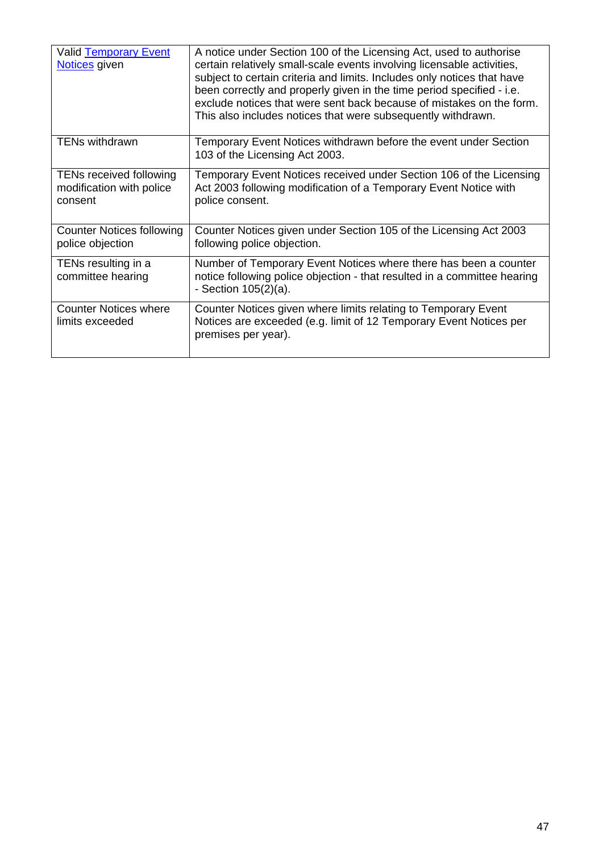| <b>Valid Temporary Event</b><br>Notices given                         | A notice under Section 100 of the Licensing Act, used to authorise<br>certain relatively small-scale events involving licensable activities,<br>subject to certain criteria and limits. Includes only notices that have<br>been correctly and properly given in the time period specified - i.e.<br>exclude notices that were sent back because of mistakes on the form.<br>This also includes notices that were subsequently withdrawn. |
|-----------------------------------------------------------------------|------------------------------------------------------------------------------------------------------------------------------------------------------------------------------------------------------------------------------------------------------------------------------------------------------------------------------------------------------------------------------------------------------------------------------------------|
| <b>TENs withdrawn</b>                                                 | Temporary Event Notices withdrawn before the event under Section<br>103 of the Licensing Act 2003.                                                                                                                                                                                                                                                                                                                                       |
| <b>TENs received following</b><br>modification with police<br>consent | Temporary Event Notices received under Section 106 of the Licensing<br>Act 2003 following modification of a Temporary Event Notice with<br>police consent.                                                                                                                                                                                                                                                                               |
| <b>Counter Notices following</b><br>police objection                  | Counter Notices given under Section 105 of the Licensing Act 2003<br>following police objection.                                                                                                                                                                                                                                                                                                                                         |
| TENs resulting in a<br>committee hearing                              | Number of Temporary Event Notices where there has been a counter<br>notice following police objection - that resulted in a committee hearing<br>- Section $105(2)(a)$ .                                                                                                                                                                                                                                                                  |
| <b>Counter Notices where</b><br>limits exceeded                       | Counter Notices given where limits relating to Temporary Event<br>Notices are exceeded (e.g. limit of 12 Temporary Event Notices per<br>premises per year).                                                                                                                                                                                                                                                                              |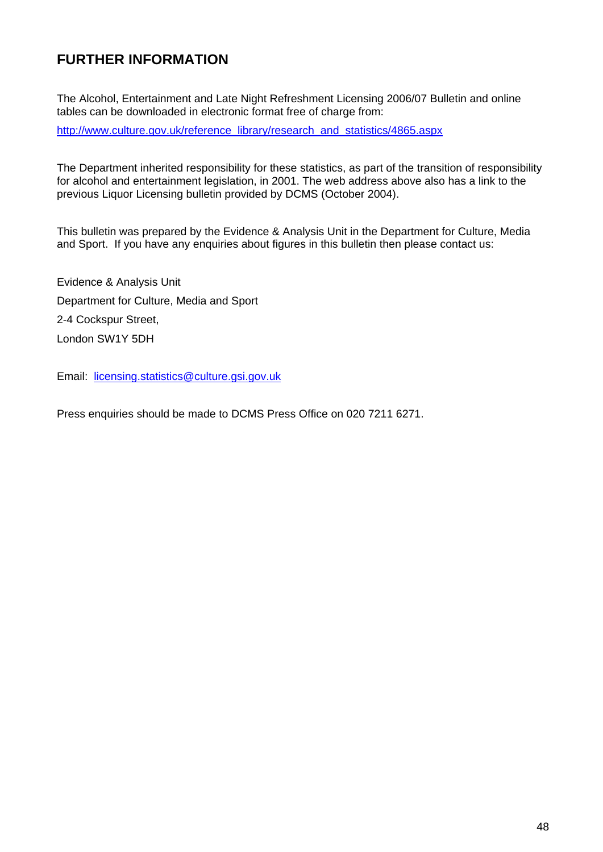### **FURTHER INFORMATION**

The Alcohol, Entertainment and Late Night Refreshment Licensing 2006/07 Bulletin and online tables can be downloaded in electronic format free of charge from:

[http://www.culture.gov.uk/reference\\_library/research\\_and\\_statistics/4865.aspx](http://www.culture.gov.uk/reference_library/research_and_statistics/4865.aspx)

The Department inherited responsibility for these statistics, as part of the transition of responsibility for alcohol and entertainment legislation, in 2001. The web address above also has a link to the previous Liquor Licensing bulletin provided by DCMS (October 2004).

This bulletin was prepared by the Evidence & Analysis Unit in the Department for Culture, Media and Sport. If you have any enquiries about figures in this bulletin then please contact us:

Evidence & Analysis Unit Department for Culture, Media and Sport 2-4 Cockspur Street, London SW1Y 5DH

Email: [licensing.statistics@culture.gsi.gov.uk](mailto:licensing.statistics@culture.gsi.gov.uk)

Press enquiries should be made to DCMS Press Office on 020 7211 6271.